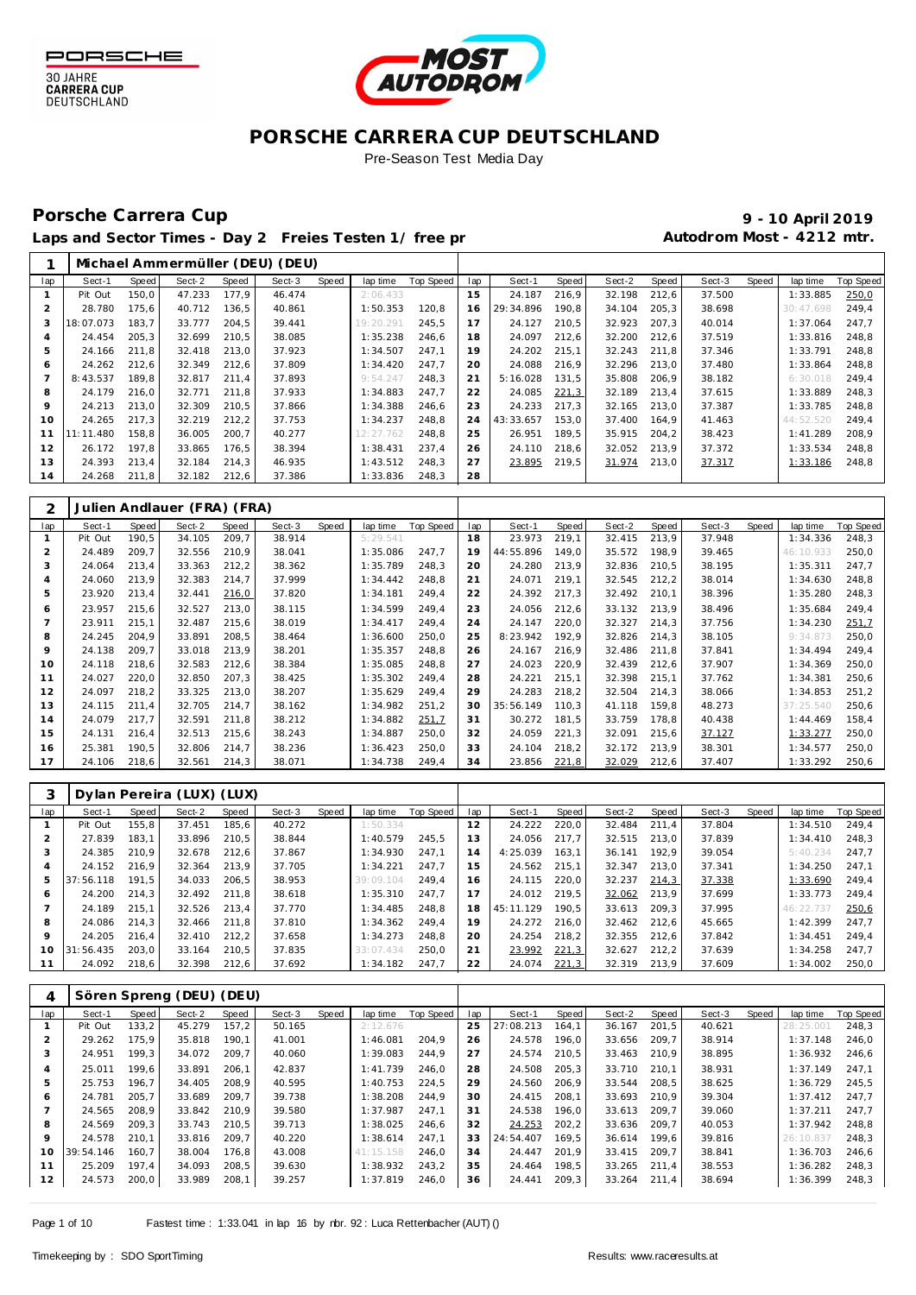



Pre-Season Test Media Day

### Porsche Carrera Cup **10 April 2019 9 - 10 April 2019**

Laps and Sector Times - Day 2 Freies Testen 1/ free practice 11 and 10 Autodrom Most - 4212 mtr.

|         |           |       |        |       | Michael Ammermüller (DEU) (DEU) |       |           |           |     |           |       |        |       |        |       |           |           |
|---------|-----------|-------|--------|-------|---------------------------------|-------|-----------|-----------|-----|-----------|-------|--------|-------|--------|-------|-----------|-----------|
| lap     | Sect-1    | Speed | Sect-2 | Speed | Sect-3                          | Speed | lap time  | Top Speed | lap | Sect-1    | Speed | Sect-2 | Speed | Sect-3 | Speed | lap time  | Top Speed |
|         | Pit Out   | 150,0 | 47.233 | 177.9 | 46.474                          |       | 2:06.433  |           | 15  | 24.187    | 216.9 | 32.198 | 212,6 | 37.500 |       | 1:33.885  | 250,0     |
|         | 28.780    | 175,6 | 40.712 | 136,5 | 40.861                          |       | 1:50.353  | 120.8     | 16  | 29:34.896 | 190.8 | 34.104 | 205,3 | 38.698 |       | 30:47.698 | 249.4     |
|         | 18:07.073 | 183.7 | 33.777 | 204.5 | 39.441                          |       | 19:20.291 | 245.5     | 17  | 24.127    | 210,5 | 32.923 | 207.3 | 40.014 |       | 1:37.064  | 247.7     |
|         | 24.454    | 205.3 | 32.699 | 210.5 | 38.085                          |       | 1:35.238  | 246,6     | 18  | 24.097    | 212,6 | 32.200 | 212,6 | 37.519 |       | 1:33.816  | 248.8     |
| 5       | 24.166    | 211,8 | 32.418 | 213,0 | 37.923                          |       | 1:34.507  | 247.1     | 19  | 24.202    | 215,1 | 32.243 | 211.8 | 37.346 |       | 1:33.791  | 248,8     |
| 6       | 24.262    | 212,6 | 32.349 | 212,6 | 37.809                          |       | 1:34.420  | 247.7     | 20  | 24.088    | 216,9 | 32.296 | 213,0 | 37.480 |       | 1:33.864  | 248,8     |
|         | 8:43.537  | 189,8 | 32.817 | 211,4 | 37.893                          |       | 9:54.247  | 248,3     | 21  | 5:16.028  | 131.5 | 35.808 | 206,9 | 38.182 |       | 6:30.018  | 249,4     |
| 8       | 24.179    | 216,0 | 32.771 | 211.8 | 37.933                          |       | 1:34.883  | 247.7     | 22  | 24.085    | 221,3 | 32.189 | 213,4 | 37.615 |       | 1:33.889  | 248,3     |
| $\circ$ | 24.213    | 213,0 | 32.309 | 210,5 | 37.866                          |       | 1:34.388  | 246,6     | 23  | 24.233    | 217.3 | 32.165 | 213,0 | 37.387 |       | 1:33.785  | 248,8     |
| 10      | 24.265    | 217,3 | 32.219 | 212,2 | 37.753                          |       | 1:34.237  | 248,8     | 24  | 43:33.657 | 153,0 | 37.400 | 164,9 | 41.463 |       | 44:52.520 | 249,4     |
|         | 11:11.480 | 158,8 | 36.005 | 200,7 | 40.277                          |       | 12:27.762 | 248,8     | 25  | 26.951    | 189.5 | 35.915 | 204.2 | 38.423 |       | 1:41.289  | 208.9     |
| 12      | 26.172    | 197.8 | 33.865 | 176,5 | 38.394                          |       | 1:38.431  | 237.4     | 26  | 24.110    | 218,6 | 32.052 | 213,9 | 37.372 |       | 1:33.534  | 248,8     |
| 13      | 24.393    | 213.4 | 32.184 | 214,3 | 46.935                          |       | 1:43.512  | 248.3     | 27  | 23.895    | 219,5 | 31.974 | 213,0 | 37.317 |       | 1:33.186  | 248.8     |
| 14      | 24.268    | 211,8 | 32.182 | 212,6 | 37.386                          |       | 1:33.836  | 248,3     | 28  |           |       |        |       |        |       |           |           |

| 2              |         |       | Julien Andlauer (FRA) (FRA) |              |        |       |          |           |     |           |       |        |       |        |       |           |                  |
|----------------|---------|-------|-----------------------------|--------------|--------|-------|----------|-----------|-----|-----------|-------|--------|-------|--------|-------|-----------|------------------|
| lap            | Sect-1  | Speed | Sect-2                      | <b>Speed</b> | Sect-3 | Speed | lap time | Top Speed | lap | Sect-1    | Speed | Sect-2 | Speed | Sect-3 | Speed | lap time  | <b>Top Speed</b> |
|                | Pit Out | 190,5 | 34.105                      | 209,7        | 38.914 |       | 5:29.541 |           | 18  | 23.973    | 219,1 | 32.415 | 213,9 | 37.948 |       | 1:34.336  | 248,3            |
| $\overline{2}$ | 24.489  | 209,7 | 32.556                      | 210,9        | 38.041 |       | 1:35.086 | 247,7     | 19  | 44:55.896 | 149,0 | 35.572 | 198,9 | 39.465 |       | 46:10.933 | 250,0            |
| 3              | 24.064  | 213,4 | 33.363                      | 212,2        | 38.362 |       | 1:35.789 | 248,3     | 20  | 24.280    | 213,9 | 32.836 | 210.5 | 38.195 |       | 1:35.311  | 247,7            |
| 4              | 24.060  | 213,9 | 32.383                      | 214,7        | 37.999 |       | 1:34.442 | 248,8     | 21  | 24.071    | 219,1 | 32.545 | 212,2 | 38.014 |       | 1:34.630  | 248,8            |
| 5              | 23.920  | 213,4 | 32.441                      | 216,0        | 37.820 |       | 1:34.181 | 249,4     | 22  | 24.392    | 217,3 | 32.492 | 210,1 | 38.396 |       | 1:35.280  | 248,3            |
| 6              | 23.957  | 215,6 | 32.527                      | 213,0        | 38.115 |       | 1:34.599 | 249.4     | 23  | 24.056    | 212,6 | 33.132 | 213.9 | 38.496 |       | 1:35.684  | 249,4            |
|                | 23.911  | 215,1 | 32.487                      | 215,6        | 38.019 |       | 1:34.417 | 249.4     | 24  | 24.147    | 220,0 | 32.327 | 214.3 | 37.756 |       | 1:34.230  | 251,7            |
| 8              | 24.245  | 204,9 | 33.891                      | 208,5        | 38.464 |       | 1:36.600 | 250,0     | 25  | 8:23.942  | 192,9 | 32.826 | 214,3 | 38.105 |       | 9:34.873  | 250,0            |
| $\circ$        | 24.138  | 209.7 | 33.018                      | 213,9        | 38.201 |       | 1:35.357 | 248.8     | 26  | 24.167    | 216.9 | 32.486 | 211.8 | 37.841 |       | 1:34.494  | 249,4            |
| 10             | 24.118  | 218,6 | 32.583                      | 212,6        | 38.384 |       | 1:35.085 | 248,8     | 27  | 24.023    | 220,9 | 32.439 | 212,6 | 37.907 |       | 1:34.369  | 250,0            |
| 11             | 24.027  | 220,0 | 32.850                      | 207,3        | 38.425 |       | 1:35.302 | 249,4     | 28  | 24.221    | 215,1 | 32.398 | 215,1 | 37.762 |       | 1:34.381  | 250,6            |
| 12             | 24.097  | 218,2 | 33.325                      | 213,0        | 38.207 |       | 1:35.629 | 249,4     | 29  | 24.283    | 218,2 | 32.504 | 214,3 | 38.066 |       | 1:34.853  | 251,2            |
| 13             | 24.115  | 211.4 | 32.705                      | 214,7        | 38.162 |       | 1:34.982 | 251,2     | 30  | 35:56.149 | 110.3 | 41.118 | 159.8 | 48.273 |       | 37:25.540 | 250,6            |
| 14             | 24.079  | 217,7 | 32.591                      | 211,8        | 38.212 |       | 1:34.882 | 251,7     | 31  | 30.272    | 181,5 | 33.759 | 178.8 | 40.438 |       | 1:44.469  | 158,4            |
| 15             | 24.131  | 216,4 | 32.513                      | 215,6        | 38.243 |       | 1:34.887 | 250,0     | 32  | 24.059    | 221,3 | 32.091 | 215,6 | 37.127 |       | 1:33.277  | 250,0            |
| 16             | 25.381  | 190,5 | 32.806                      | 214,7        | 38.236 |       | 1:36.423 | 250,0     | 33  | 24.104    | 218,2 | 32.172 | 213.9 | 38.301 |       | 1:34.577  | 250,0            |
| 17             | 24.106  | 218,6 | 32.561                      | 214,3        | 38.071 |       | 1:34.738 | 249,4     | 34  | 23.856    | 221,8 | 32.029 | 212,6 | 37.407 |       | 1:33.292  | 250,6            |

| 3       |           |       | Dylan Pereira (LUX) (LUX) |       |        |       |           |           |     |           |       |        |       |        |       |           |           |
|---------|-----------|-------|---------------------------|-------|--------|-------|-----------|-----------|-----|-----------|-------|--------|-------|--------|-------|-----------|-----------|
| lap     | Sect-1    | Speed | Sect-2                    | Speed | Sect-3 | Speed | lap time  | Top Speed | lap | Sect-1    | Speed | Sect-2 | Speed | Sect-3 | Speed | lap time  | Top Speed |
|         | Pit Out   | 155.8 | 37.451                    | 185,6 | 40.272 |       | 1:50.334  |           | 12  | 24.222    | 220.0 | 32.484 | 211.4 | 37.804 |       | 1:34.510  | 249.4     |
|         | 27.839    | 183.1 | 33.896                    | 210.5 | 38.844 |       | 1:40.579  | 245.5     | 13  | 24.056    | 217.7 | 32.515 | 213.0 | 37.839 |       | 1:34.410  | 248.3     |
| -1      | 24.385    | 210.9 | 32.678                    | 212.6 | 37.867 |       | 1:34.930  | 247.1     | 14  | 4:25.039  | 163.1 | 36.141 | 192.9 | 39.054 |       | 5:40.234  | 247.7     |
|         | 24.152    | 216.9 | 32.364                    | 213.9 | 37.705 |       | 1:34.221  | 247.7     | 15  | 24.562    | 215.1 | 32.347 | 213.0 | 37.341 |       | 1:34.250  | 247.1     |
|         | 37:56.118 | 191.5 | 34.033                    | 206.5 | 38.953 |       | 39:09.104 | 249.4     | 16  | 24.115    | 220.0 | 32.237 | 214,3 | 37.338 |       | 1:33.690  | 249.4     |
| c       | 24.200    | 214.3 | 32.492                    | 211.8 | 38.618 |       | 1:35.310  | 247.7     | 17  | 24.012    | 219.5 | 32.062 | 213.9 | 37.699 |       | 1:33.773  | 249.4     |
|         | 24.189    | 215.1 | 32.526                    | 213.4 | 37.770 |       | 1:34.485  | 248.8     | 18  | 45:11.129 | 190.5 | 33.613 | 209.3 | 37.995 |       | 46:22.737 | 250,6     |
| 8       | 24.086    | 214.3 | 32.466                    | 211.8 | 37.810 |       | 1:34.362  | 249.4     | 19  | 24.272    | 216.0 | 32.462 | 212.6 | 45.665 |       | 1:42.399  | 247.7     |
| $\circ$ | 24.205    | 216.4 | 32.410                    | 212,2 | 37.658 |       | 1:34.273  | 248.8     | 20  | 24.254    | 218.2 | 32.355 | 212.6 | 37.842 |       | 1:34.451  | 249.4     |
| 10      | 31:56.435 | 203.0 | 33.164                    | 210.5 | 37.835 |       | 33:07.434 | 250.0     | 21  | 23.992    | 221,3 | 32.627 | 212.2 | 37.639 |       | 1:34.258  | 247.7     |
|         | 24.092    | 218,6 | 32.398                    | 212,6 | 37.692 |       | 1:34.182  | 247.7     | 22  | 24.074    | 221,3 | 32.319 | 213.9 | 37.609 |       | 1:34.002  | 250,0     |

| 4   |           |       | Sören Spreng (DEU) (DEU) |       |        |       |           |                  |     |           |        |        |       |        |       |            |           |
|-----|-----------|-------|--------------------------|-------|--------|-------|-----------|------------------|-----|-----------|--------|--------|-------|--------|-------|------------|-----------|
| lap | Sect-1    | Speed | Sect-2                   | Speed | Sect-3 | Speed | lap time  | <b>Top Speed</b> | lap | Sect-1    | Speed  | Sect-2 | Speed | Sect-3 | Speed | lap time   | Top Speed |
|     | Pit Out   | 133,2 | 45.279                   | 157.2 | 50.165 |       | 2:12.676  |                  | 25  | 27:08.213 | 164.1  | 36.167 | 201.5 | 40.621 |       | 28: 25.001 | 248.3     |
|     | 29.262    | 175.9 | 35.818                   | 190.1 | 41.001 |       | 1:46.081  | 204.9            | 26  | 24.578    | 196.0  | 33.656 | 209.7 | 38.914 |       | 1:37.148   | 246,0     |
| 3   | 24.951    | 199,3 | 34.072                   | 209,7 | 40.060 |       | 1:39.083  | 244.9            | 27  | 24.574    | 210,5  | 33.463 | 210.9 | 38.895 |       | 1:36.932   | 246,6     |
| 4   | 25.011    | 199.6 | 33.891                   | 206.1 | 42.837 |       | 1:41.739  | 246.0            | 28  | 24.508    | 205,3  | 33.710 | 210.1 | 38.931 |       | 1:37.149   | 247.1     |
| 5   | 25.753    | 196.7 | 34.405                   | 208.9 | 40.595 |       | 1:40.753  | 224.5            | 29  | 24.560    | 206.9  | 33.544 | 208.5 | 38.625 |       | 1:36.729   | 245.5     |
| O   | 24.781    | 205.7 | 33.689                   | 209.7 | 39.738 |       | 1:38.208  | 244.9            | 30  | 24.415    | 208.1  | 33.693 | 210.9 | 39.304 |       | 1:37.412   | 247.7     |
|     | 24.565    | 208.9 | 33.842                   | 210.9 | 39.580 |       | 1:37.987  | 247.1            | 31  | 24.538    | 196.0  | 33.613 | 209.7 | 39.060 |       | 1:37.211   | 247.7     |
| 8   | 24.569    | 209.3 | 33.743                   | 210.5 | 39.713 |       | 1:38.025  | 246.6            | 32  | 24.253    | 202, 2 | 33.636 | 209.7 | 40.053 |       | 1:37.942   | 248.8     |
| 9   | 24.578    | 210.1 | 33.816                   | 209.7 | 40.220 |       | 1:38.614  | 247.1            | 33  | 24:54.407 | 169.5  | 36.614 | 199.6 | 39.816 |       | 26:10.837  | 248.3     |
| 10  | 39:54.146 | 160.7 | 38.004                   | 176.8 | 43.008 |       | 41:15.158 | 246.0            | 34  | 24.447    | 201.9  | 33.415 | 209.7 | 38.841 |       | 1:36.703   | 246.6     |
| 11  | 25.209    | 197.4 | 34.093                   | 208.5 | 39.630 |       | 1:38.932  | 243.2            | 35  | 24.464    | 198.5  | 33.265 | 211.4 | 38.553 |       | 1:36.282   | 248.3     |
| 12  | 24.573    | 200,0 | 33.989                   | 208,1 | 39.257 |       | 1:37.819  | 246.0            | 36  | 24.441    | 209,3  | 33.264 | 211.4 | 38.694 |       | 1:36.399   | 248,3     |
|     |           |       |                          |       |        |       |           |                  |     |           |        |        |       |        |       |            |           |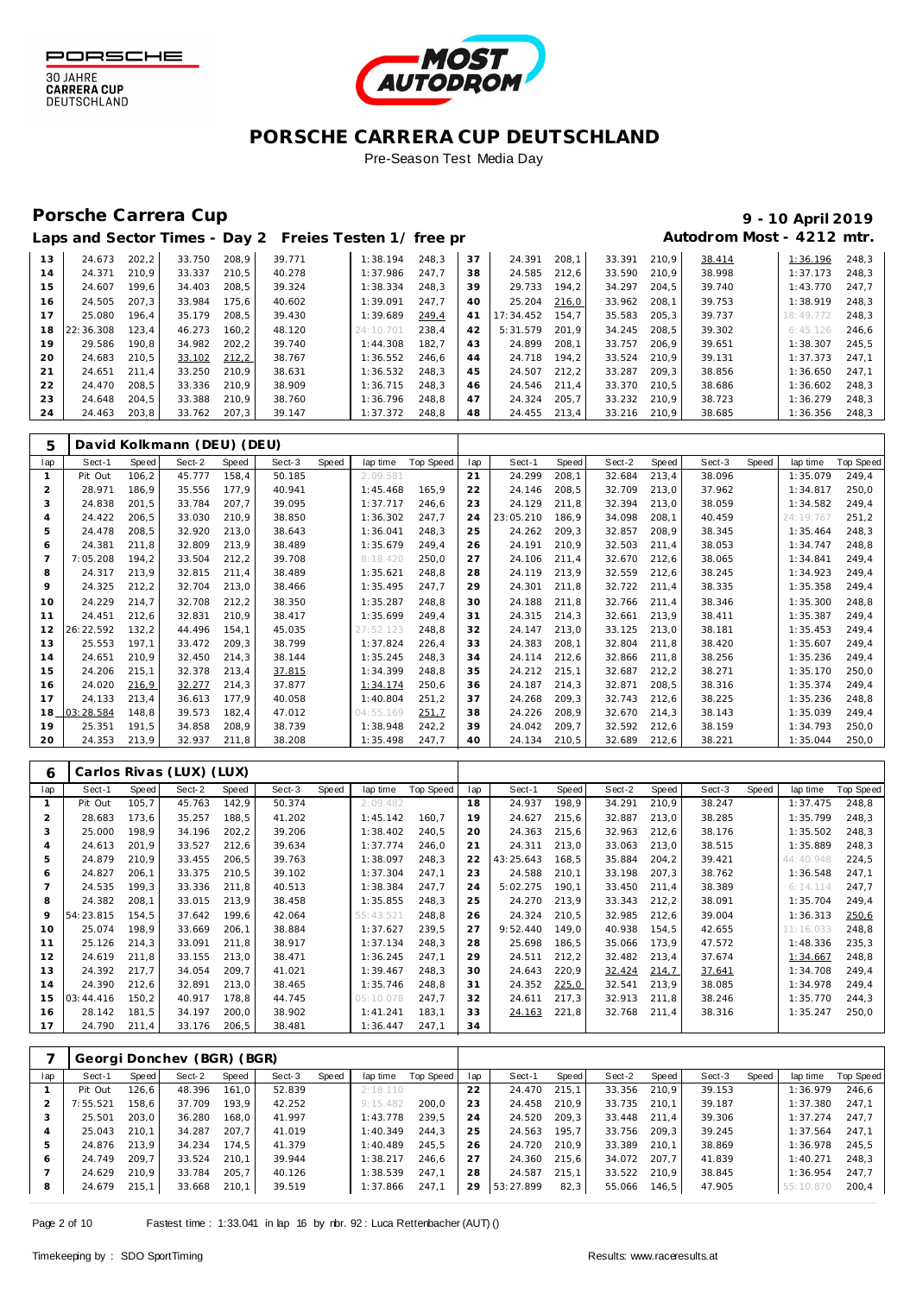



Pre-Season Test Media Day

### Porsche Carrera Cup **10 April 2019 9 - 10 April 2019**

# Laps and Sector Times - Day 2 Freies Testen 1/ free practice 11 and 100 Autodrom Most - 4212 mtr.

| 13 | 24.673    | 202.2 | 33.750 | 208.9 | 39.771 | 1:38.194  | 248.3 | 37 | 24.391    | 208.1 | 33.391 | 210.9 | 38.414 | 1:36.196  | 248.3 |
|----|-----------|-------|--------|-------|--------|-----------|-------|----|-----------|-------|--------|-------|--------|-----------|-------|
| 14 | 24.371    | 210.9 | 33.337 | 210.5 | 40.278 | 1:37.986  | 247.7 | 38 | 24.585    | 212.6 | 33.590 | 210.9 | 38.998 | 1:37.173  | 248.3 |
| 15 | 24.607    | 199.6 | 34.403 | 208.5 | 39.324 | 1:38.334  | 248.3 | 39 | 29.733    | 194.2 | 34.297 | 204.5 | 39.740 | 1:43.770  | 247.7 |
| 16 | 24.505    | 207.3 | 33.984 | 175.6 | 40.602 | 1:39.091  | 247.7 | 40 | 25.204    | 216,0 | 33.962 | 208.1 | 39.753 | 1:38.919  | 248.3 |
| 17 | 25.080    | 196.4 | 35.179 | 208.5 | 39.430 | 1:39.689  | 249.4 | 41 | 17:34.452 | 154.7 | 35.583 | 205.3 | 39.737 | 18:49.772 | 248.3 |
| 18 | 22:36.308 | 123.4 | 46.273 | 160.2 | 48.120 | 24:10.701 | 238.4 | 42 | 5:31.579  | 201.9 | 34.245 | 208.5 | 39.302 | 6:45.126  | 246.6 |
| 19 | 29.586    | 190,8 | 34.982 | 202,2 | 39.740 | 1:44.308  | 182.7 | 43 | 24.899    | 208.1 | 33.757 | 206.9 | 39.651 | 1:38.307  | 245.5 |
| 20 | 24.683    | 210.5 | 33.102 | 212,2 | 38.767 | 1:36.552  | 246.6 | 44 | 24.718    | 194.2 | 33.524 | 210.9 | 39.131 | 1:37.373  | 247.1 |
| 21 | 24.651    | 211.4 | 33.250 | 210.9 | 38.631 | 1:36.532  | 248.3 | 45 | 24.507    | 212.2 | 33.287 | 209.3 | 38.856 | 1:36.650  | 247.1 |
| 22 | 24.470    | 208.5 | 33.336 | 210.9 | 38.909 | 1:36.715  | 248.3 | 46 | 24.546    | 211.4 | 33.370 | 210.5 | 38.686 | 1:36.602  | 248.3 |
| 23 | 24.648    | 204.5 | 33.388 | 210.9 | 38.760 | 1:36.796  | 248.8 | 47 | 24.324    | 205.7 | 33.232 | 210.9 | 38.723 | 1:36.279  | 248.3 |
| 24 | 24.463    | 203,8 | 33.762 | 207,3 | 39.147 | 1:37.372  | 248.8 | 48 | 24.455    | 213.4 | 33.216 | 210.9 | 38.685 | 1:36.356  | 248,3 |

| 5              |           |       | David Kolkmann (DEU) (DEU) |       |        |       |           |           |                 |           |       |        |       |        |       |           |                  |
|----------------|-----------|-------|----------------------------|-------|--------|-------|-----------|-----------|-----------------|-----------|-------|--------|-------|--------|-------|-----------|------------------|
| lap            | Sect-1    | Speed | Sect-2                     | Speed | Sect-3 | Speed | lap time  | Top Speed | lap             | Sect-1    | Speed | Sect-2 | Speed | Sect-3 | Speed | lap time  | <b>Top Speed</b> |
| $\mathbf{1}$   | Pit Out   | 106,2 | 45.777                     | 158,4 | 50.185 |       | 2:09.581  |           | 21              | 24.299    | 208,1 | 32.684 | 213,4 | 38.096 |       | 1:35.079  | 249,4            |
| $\overline{2}$ | 28.971    | 186,9 | 35.556                     | 177,9 | 40.941 |       | 1:45.468  | 165,9     | 22              | 24.146    | 208,5 | 32.709 | 213,0 | 37.962 |       | 1:34.817  | 250,0            |
| 3              | 24.838    | 201,5 | 33.784                     | 207,7 | 39.095 |       | 1:37.717  | 246,6     | 23              | 24.129    | 211,8 | 32.394 | 213,0 | 38.059 |       | 1:34.582  | 249,4            |
| $\overline{4}$ | 24.422    | 206,5 | 33.030                     | 210,9 | 38.850 |       | 1:36.302  | 247,7     | 24              | 23:05.210 | 186,9 | 34.098 | 208,1 | 40.459 |       | 24:19.767 | 251,2            |
| 5              | 24.478    | 208,5 | 32.920                     | 213,0 | 38.643 |       | 1:36.041  | 248,3     | 25              | 24.262    | 209,3 | 32.857 | 208,9 | 38.345 |       | 1:35.464  | 248,3            |
| 6              | 24.381    | 211,8 | 32.809                     | 213,9 | 38.489 |       | 1:35.679  | 249.4     | 26              | 24.191    | 210,9 | 32.503 | 211,4 | 38.053 |       | 1:34.747  | 248,8            |
|                | 7:05.208  | 194,2 | 33.504                     | 212,2 | 39.708 |       | 8:18.420  | 250,0     | 27              | 24.106    | 211,4 | 32.670 | 212,6 | 38.065 |       | 1:34.841  | 249,4            |
| 8              | 24.317    | 213,9 | 32.815                     | 211,4 | 38.489 |       | 1:35.621  | 248,8     | 28              | 24.119    | 213,9 | 32.559 | 212,6 | 38.245 |       | 1:34.923  | 249,4            |
| 9              | 24.325    | 212,2 | 32.704                     | 213,0 | 38.466 |       | 1:35.495  | 247,7     | 29              | 24.301    | 211,8 | 32.722 | 211,4 | 38.335 |       | 1:35.358  | 249,4            |
| 10             | 24.229    | 214,7 | 32.708                     | 212,2 | 38.350 |       | 1:35.287  | 248,8     | 30              | 24.188    | 211,8 | 32.766 | 211,4 | 38.346 |       | 1:35.300  | 248,8            |
| 11             | 24.451    | 212,6 | 32.831                     | 210,9 | 38.417 |       | 1:35.699  | 249.4     | 31              | 24.315    | 214,3 | 32.661 | 213.9 | 38.411 |       | 1:35.387  | 249,4            |
| 12             | 26:22.592 | 132,2 | 44.496                     | 154,1 | 45.035 |       | 27:52.123 | 248,8     | 32              | 24.147    | 213,0 | 33.125 | 213,0 | 38.181 |       | 1:35.453  | 249,4            |
| 13             | 25.553    | 197,1 | 33.472                     | 209,3 | 38.799 |       | 1:37.824  | 226,4     | 33              | 24.383    | 208,1 | 32.804 | 211,8 | 38.420 |       | 1:35.607  | 249,4            |
| 14             | 24.651    | 210,9 | 32.450                     | 214,3 | 38.144 |       | 1:35.245  | 248,3     | 34              | 24.114    | 212,6 | 32.866 | 211,8 | 38.256 |       | 1:35.236  | 249,4            |
| 15             | 24.206    | 215,1 | 32.378                     | 213,4 | 37.815 |       | 1:34.399  | 248,8     | 35              | 24.212    | 215,1 | 32.687 | 212,2 | 38.271 |       | 1:35.170  | 250,0            |
| 16             | 24.020    | 216,9 | 32.277                     | 214,3 | 37.877 |       | 1:34.174  | 250,6     | 36              | 24.187    | 214,3 | 32.871 | 208,5 | 38.316 |       | 1:35.374  | 249,4            |
| 17             | 24.133    | 213,4 | 36.613                     | 177,9 | 40.058 |       | 1:40.804  | 251,2     | 37              | 24.268    | 209,3 | 32.743 | 212,6 | 38.225 |       | 1:35.236  | 248,8            |
| 18             | 03:28.584 | 148,8 | 39.573                     | 182,4 | 47.012 |       | 04:55.169 | 251,7     | 38              | 24.226    | 208,9 | 32.670 | 214,3 | 38.143 |       | 1:35.039  | 249,4            |
| 19             | 25.351    | 191,5 | 34.858                     | 208,9 | 38.739 |       | 1:38.948  | 242,2     | 39              | 24.042    | 209,7 | 32.592 | 212,6 | 38.159 |       | 1:34.793  | 250,0            |
| 20             | 24.353    | 213,9 | 32.937                     | 211,8 | 38.208 |       | 1:35.498  | 247,7     | 40 <sup>2</sup> | 24.134    | 210,5 | 32.689 | 212,6 | 38.221 |       | 1:35.044  | 250,0            |

| 6   |           |       | Carlos Rivas (LUX) (LUX) |       |        |       |           |           |     |           |       |        |       |        |       |           |                  |
|-----|-----------|-------|--------------------------|-------|--------|-------|-----------|-----------|-----|-----------|-------|--------|-------|--------|-------|-----------|------------------|
| lap | Sect-1    | Speed | Sect-2                   | Speed | Sect-3 | Speed | lap time  | Top Speed | lap | Sect-1    | Speed | Sect-2 | Speed | Sect-3 | Speed | lap time  | <b>Top Speed</b> |
|     | Pit Out   | 105,7 | 45.763                   | 142,9 | 50.374 |       | 2:09.482  |           | 18  | 24.937    | 198.9 | 34.291 | 210.9 | 38.247 |       | 1:37.475  | 248,8            |
|     | 28.683    | 173,6 | 35.257                   | 188,5 | 41.202 |       | 1:45.142  | 160.7     | 19  | 24.627    | 215,6 | 32.887 | 213,0 | 38.285 |       | 1:35.799  | 248,3            |
| 3   | 25.000    | 198.9 | 34.196                   | 202,2 | 39.206 |       | 1:38.402  | 240.5     | 20  | 24.363    | 215,6 | 32.963 | 212.6 | 38.176 |       | 1:35.502  | 248,3            |
|     | 24.613    | 201.9 | 33.527                   | 212,6 | 39.634 |       | 1:37.774  | 246.0     | 21  | 24.311    | 213.0 | 33.063 | 213.0 | 38.515 |       | 1:35.889  | 248,3            |
| 5   | 24.879    | 210,9 | 33.455                   | 206,5 | 39.763 |       | 1:38.097  | 248,3     | 22  | 43:25.643 | 168,5 | 35.884 | 204,2 | 39.421 |       | 44:40.948 | 224,5            |
| 6   | 24.827    | 206,1 | 33.375                   | 210,5 | 39.102 |       | 1:37.304  | 247,1     | 23  | 24.588    | 210,1 | 33.198 | 207.3 | 38.762 |       | 1:36.548  | 247,1            |
|     | 24.535    | 199,3 | 33.336                   | 211,8 | 40.513 |       | 1:38.384  | 247,7     | 24  | 5:02.275  | 190.1 | 33.450 | 211.4 | 38.389 |       | 6:14.114  | 247,7            |
| 8   | 24.382    | 208,1 | 33.015                   | 213,9 | 38.458 |       | 1:35.855  | 248,3     | 25  | 24.270    | 213,9 | 33.343 | 212,2 | 38.091 |       | 1:35.704  | 249,4            |
| q   | 54:23.815 | 154,5 | 37.642                   | 199,6 | 42.064 |       | 55:43.521 | 248.8     | 26  | 24.324    | 210,5 | 32.985 | 212,6 | 39.004 |       | 1:36.313  | 250,6            |
| 10  | 25.074    | 198,9 | 33.669                   | 206,1 | 38.884 |       | 1:37.627  | 239.5     | 27  | 9:52.440  | 149.0 | 40.938 | 154,5 | 42.655 |       | 11:16.033 | 248,8            |
| 11  | 25.126    | 214,3 | 33.091                   | 211.8 | 38.917 |       | 1:37.134  | 248.3     | 28  | 25.698    | 186,5 | 35.066 | 173.9 | 47.572 |       | 1:48.336  | 235,3            |
| 12  | 24.619    | 211,8 | 33.155                   | 213,0 | 38.471 |       | 1:36.245  | 247.1     | 29  | 24.511    | 212,2 | 32.482 | 213,4 | 37.674 |       | 1:34.667  | 248,8            |
| 13  | 24.392    | 217.7 | 34.054                   | 209,7 | 41.021 |       | 1:39.467  | 248.3     | 30  | 24.643    | 220,9 | 32.424 | 214,7 | 37.641 |       | 1:34.708  | 249.4            |
| 14  | 24.390    | 212,6 | 32.891                   | 213.0 | 38.465 |       | 1:35.746  | 248.8     | 31  | 24.352    | 225,0 | 32.541 | 213.9 | 38.085 |       | 1:34.978  | 249.4            |
| 15  | 03:44.416 | 150,2 | 40.917                   | 178,8 | 44.745 |       | 05:10.078 | 247.7     | 32  | 24.611    | 217,3 | 32.913 | 211,8 | 38.246 |       | 1:35.770  | 244,3            |
| 16  | 28.142    | 181,5 | 34.197                   | 200,0 | 38.902 |       | 1:41.241  | 183.1     | 33  | 24.163    | 221,8 | 32.768 | 211,4 | 38.316 |       | 1:35.247  | 250,0            |
| 17  | 24.790    | 211,4 | 33.176                   | 206,5 | 38.481 |       | 1:36.447  | 247,1     | 34  |           |       |        |       |        |       |           |                  |

|     | Georgi Donchev ( |       |        | (BGR) (BGR) |        |       |          |           |     |           |       |        |       |        |       |           |           |
|-----|------------------|-------|--------|-------------|--------|-------|----------|-----------|-----|-----------|-------|--------|-------|--------|-------|-----------|-----------|
| lap | Sect-1           | Speed | Sect-2 | Speed       | Sect-3 | Speed | lap time | Top Speed | lap | Sect-1    | Speed | Sect-2 | Speed | Sect-3 | Speed | lap time  | Top Speed |
|     | Pit Out          | 126.6 | 48.396 | 161.0       | 52.839 |       | 2:18.110 |           | 22  | 24.470    | 215.1 | 33.356 | 210.9 | 39.153 |       | 1:36.979  | 246.6     |
|     | 7:55.521         | 158.6 | 37.709 | 193.9       | 42.252 |       | 9:15.482 | 200.0     | 23  | 24.458    | 210.9 | 33.735 | 210.1 | 39.187 |       | 1:37.380  | 247.1     |
|     | 25.501           | 203.0 | 36.280 | 168.0       | 41.997 |       | 1:43.778 | 239.5     | 24  | 24.520    | 209.3 | 33.448 | 211.4 | 39.306 |       | 1:37.274  | 247.7     |
| 4   | 25.043           | 210.1 | 34.287 | 207.7       | 41.019 |       | 1:40.349 | 244.3     | 25  | 24.563    | 195.7 | 33.756 | 209.3 | 39.245 |       | 1:37.564  | 247.1     |
| 5   | 24.876           | 213.9 | 34.234 | 174.5       | 41.379 |       | 1:40.489 | 245.5     | 26  | 24.720    | 210.9 | 33.389 | 210.1 | 38.869 |       | 1:36.978  | 245.5     |
| 6   | 24.749           | 209.7 | 33.524 | 210.1       | 39.944 |       | 1:38.217 | 246.6     | 27  | 24.360    | 215.6 | 34.072 | 207.7 | 41.839 |       | 1:40.271  | 248.3     |
|     | 24.629           | 210.9 | 33.784 | 205.7       | 40.126 |       | 1:38.539 | 247.1     | 28  | 24.587    | 215.1 | 33.522 | 210.9 | 38.845 |       | 1:36.954  | 247.7     |
| 8   | 24.679           | 215,1 | 33.668 | 210,1       | 39.519 |       | 1:37.866 | 247.1     | 29  | 53:27.899 | 82,3  | 55.066 | 146,5 | 47.905 |       | 55:10.870 | 200,4     |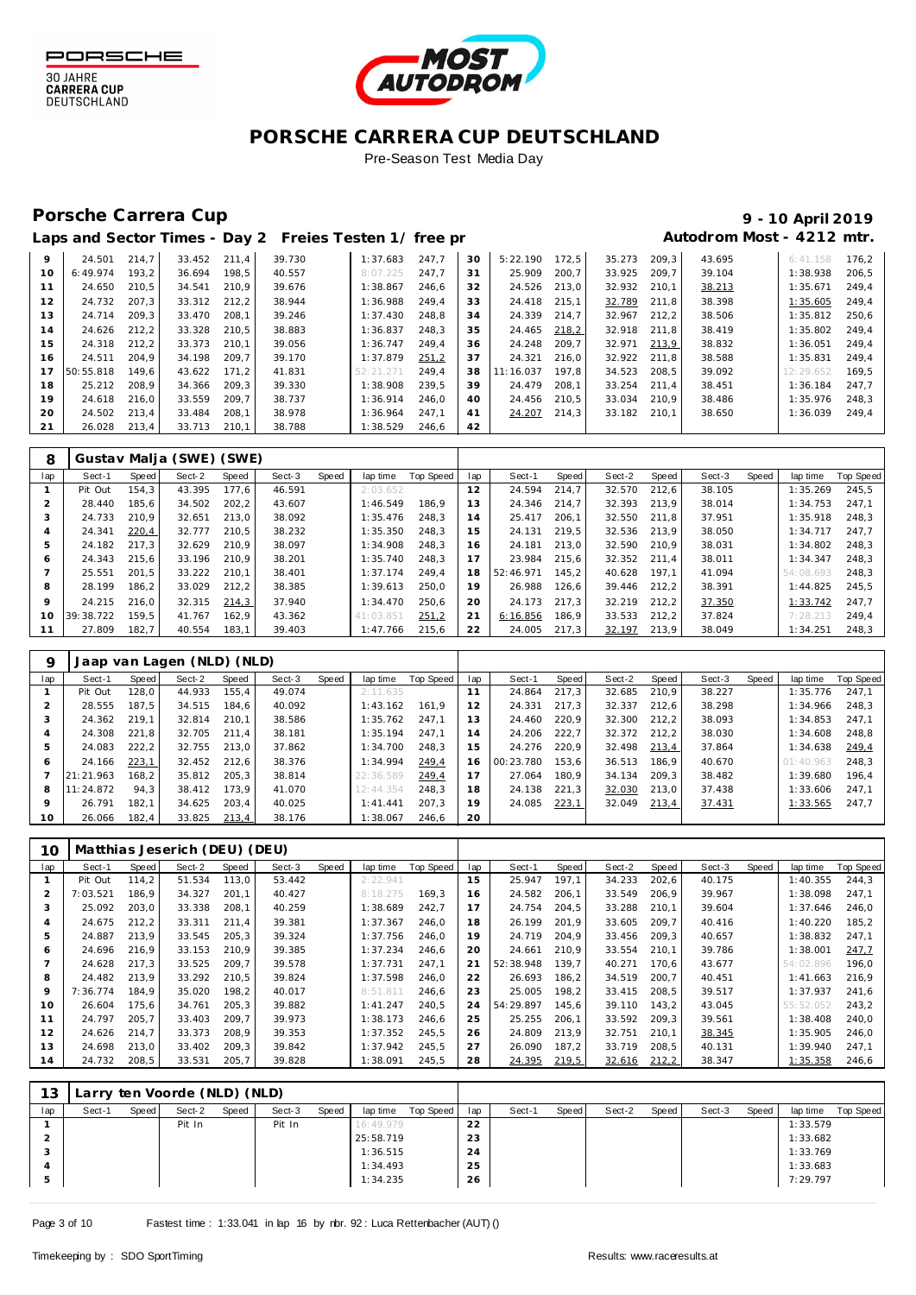



#### Porsche Carrera Cup **10 April 2019 9 - 10 April 2019**

|    |           |       |        |       | Laps and Sector Times - Day 2 Freies Testen 1/ free pr |           |       |    |           |       |        |       | Autodrom Most - 4212 mtr. |           |       |
|----|-----------|-------|--------|-------|--------------------------------------------------------|-----------|-------|----|-----------|-------|--------|-------|---------------------------|-----------|-------|
| 9  | 24.501    | 214.7 | 33.452 | 211.4 | 39.730                                                 | 1:37.683  | 247.7 | 30 | 5:22.190  | 172.5 | 35.273 | 209.3 | 43.695                    | 6:41.158  | 176.2 |
| 10 | 6:49.974  | 193.2 | 36.694 | 198.5 | 40.557                                                 | 8:07.225  | 247.7 | 31 | 25.909    | 200.7 | 33.925 | 209.7 | 39.104                    | 1:38.938  | 206.5 |
| 11 | 24.650    | 210.5 | 34.541 | 210.9 | 39.676                                                 | 1:38.867  | 246.6 | 32 | 24.526    | 213,0 | 32.932 | 210.1 | 38.213                    | 1:35.671  | 249.4 |
| 12 | 24.732    | 207.3 | 33.312 | 212.2 | 38.944                                                 | 1:36.988  | 249.4 | 33 | 24.418    | 215.1 | 32.789 | 211.8 | 38.398                    | 1:35.605  | 249.4 |
| 13 | 24.714    | 209.3 | 33.470 | 208.1 | 39.246                                                 | 1:37.430  | 248.8 | 34 | 24.339    | 214.7 | 32.967 | 212.2 | 38.506                    | 1:35.812  | 250.6 |
| 14 | 24.626    | 212.2 | 33.328 | 210.5 | 38.883                                                 | 1:36.837  | 248.3 | 35 | 24.465    | 218,2 | 32.918 | 211.8 | 38.419                    | 1:35.802  | 249.4 |
| 15 | 24.318    | 212.2 | 33.373 | 210.1 | 39.056                                                 | 1:36.747  | 249.4 | 36 | 24.248    | 209.7 | 32.971 | 213,9 | 38.832                    | 1:36.051  | 249.4 |
| 16 | 24.511    | 204.9 | 34.198 | 209.7 | 39.170                                                 | 1:37.879  | 251.2 | 37 | 24.321    | 216.0 | 32.922 | 211.8 | 38.588                    | 1:35.831  | 249.4 |
| 17 | 50:55.818 | 149.6 | 43.622 | 171.2 | 41.831                                                 | 52:21.271 | 249.4 | 38 | 11:16.037 | 197.8 | 34.523 | 208.5 | 39.092                    | 12:29.652 | 169.5 |
| 18 | 25.212    | 208.9 | 34.366 | 209.3 | 39.330                                                 | 1:38.908  | 239.5 | 39 | 24.479    | 208.1 | 33.254 | 211.4 | 38.451                    | 1:36.184  | 247.7 |
| 19 | 24.618    | 216.0 | 33.559 | 209.7 | 38.737                                                 | 1:36.914  | 246.0 | 40 | 24.456    | 210,5 | 33.034 | 210.9 | 38.486                    | 1:35.976  | 248.3 |
| 20 | 24.502    | 213.4 | 33.484 | 208.1 | 38.978                                                 | 1:36.964  | 247.1 | 41 | 24.207    | 214.3 | 33.182 | 210.1 | 38.650                    | 1:36.039  | 249.4 |
| 21 | 26.028    | 213,4 | 33.713 | 210.1 | 38.788                                                 | 1:38.529  | 246,6 | 42 |           |       |        |       |                           |           |       |

| 8   |           |       | Gustav Malja (SWE) (SWE) |       |        |       |           |           |     |           |       |        |       |        |       |           |           |
|-----|-----------|-------|--------------------------|-------|--------|-------|-----------|-----------|-----|-----------|-------|--------|-------|--------|-------|-----------|-----------|
| lap | Sect-1    | Speed | Sect-2                   | Speed | Sect-3 | Speed | lap time  | Top Speed | lap | Sect-1    | Speed | Sect-2 | Speed | Sect-3 | Speed | lap time  | Top Speed |
|     | Pit Out   | 154.3 | 43.395                   | 177.6 | 46.591 |       | 2:03.652  |           | 12  | 24.594    | 214.7 | 32.570 | 212.6 | 38.105 |       | 1:35.269  | 245.5     |
| 2   | 28.440    | 185.6 | 34.502                   | 202.2 | 43.607 |       | 1:46.549  | 186.9     | 13  | 24.346    | 214.7 | 32.393 | 213.9 | 38.014 |       | 1:34.753  | 247.1     |
| 3   | 24.733    | 210.9 | 32.651                   | 213.0 | 38.092 |       | 1:35.476  | 248.3     | 14  | 25.417    | 206.1 | 32.550 | 211.8 | 37.951 |       | 1:35.918  | 248.3     |
| 4   | 24.341    | 220,4 | 32.777                   | 210.5 | 38.232 |       | 1:35.350  | 248.3     | 15  | 24.131    | 219.5 | 32.536 | 213.9 | 38.050 |       | 1:34.717  | 247.7     |
| 5   | 24.182    | 217.3 | 32.629                   | 210.9 | 38.097 |       | 1:34.908  | 248.3     | 16  | 24.181    | 213.0 | 32.590 | 210.9 | 38.031 |       | 1:34.802  | 248.3     |
| 6   | 24.343    | 215.6 | 33.196                   | 210.9 | 38.201 |       | 1:35.740  | 248.3     |     | 23.984    | 215.6 | 32.352 | 211.4 | 38.011 |       | 1:34.347  | 248.3     |
|     | 25.551    | 201.5 | 33.222                   | 210.1 | 38.401 |       | 1:37.174  | 249.4     | 18  | 52:46.971 | 145.2 | 40.628 | 197.1 | 41.094 |       | 54:08.693 | 248.3     |
| 8   | 28.199    | 186.2 | 33.029                   | 212.2 | 38.385 |       | 1:39.613  | 250.0     | 19  | 26.988    | 126,6 | 39.446 | 212.2 | 38.391 |       | 1:44.825  | 245.5     |
| 9   | 24.215    | 216.0 | 32.315                   | 214,3 | 37.940 |       | 1:34.470  | 250.6     | 20  | 24.173    | 217.3 | 32.219 | 212.2 | 37.350 |       | 1:33.742  | 247.7     |
| 10  | 39:38.722 | 159.5 | 41.767                   | 162.9 | 43.362 |       | 41:03.851 | 251,2     | 21  | 6:16.856  | 186,9 | 33.533 | 212.2 | 37.824 |       | 7:28.213  | 249,4     |
|     | 27.809    | 182.7 | 40.554                   | 183.1 | 39.403 |       | 1:47.766  | 215.6     | 22  | 24.005    | 217.3 | 32.197 | 213,9 | 38.049 |       | 1:34.251  | 248.3     |

|         |           |       | Jaap van Lagen (NLD) (NLD) |       |        |       |           |           |     |           |       |        |       |        |       |           |           |
|---------|-----------|-------|----------------------------|-------|--------|-------|-----------|-----------|-----|-----------|-------|--------|-------|--------|-------|-----------|-----------|
| lap     | Sect-1    | Speed | Sect-2                     | Speed | Sect-3 | Speed | lap time  | Top Speed | lap | Sect-1    | Speed | Sect-2 | Speed | Sect-3 | Speed | lap time  | Top Speed |
|         | Pit Out   | 128.0 | 44.933                     | 155,4 | 49.074 |       | 2:11.635  |           |     | 24.864    | 217,3 | 32.685 | 210.9 | 38.227 |       | 1:35.776  | 247.1     |
|         | 28.555    | 187.5 | 34.515                     | 184.6 | 40.092 |       | 1:43.162  | 161.9     | 12  | 24.331    | 217.3 | 32.337 | 212.6 | 38.298 |       | 1:34.966  | 248.3     |
| 3       | 24.362    | 219.1 | 32.814                     | 210.1 | 38.586 |       | 1:35.762  | 247.1     | 13  | 24.460    | 220.9 | 32.300 | 212.2 | 38.093 |       | 1:34.853  | 247.1     |
| 4       | 24.308    | 221.8 | 32.705                     | 211.4 | 38.181 |       | 1:35.194  | 247.1     | 14  | 24.206    | 222,7 | 32.372 | 212.2 | 38.030 |       | 1:34.608  | 248,8     |
| 5       | 24.083    | 222,2 | 32.755                     | 213.0 | 37.862 |       | 1:34.700  | 248.3     | 15  | 24.276    | 220.9 | 32.498 | 213,4 | 37.864 |       | 1:34.638  | 249.4     |
| 6       | 24.166    | 223,1 | 32.452                     | 212.6 | 38.376 |       | 1:34.994  | 249.4     | 16  | 00:23.780 | 153.6 | 36.513 | 186.9 | 40.670 |       | 01:40.963 | 248.3     |
|         | 21:21.963 | 168.2 | 35.812                     | 205.3 | 38.814 |       | 22:36.589 | 249,4     |     | 27.064    | 180.9 | 34.134 | 209.3 | 38.482 |       | 1:39.680  | 196.4     |
| 8       | 11:24.872 | 94.3  | 38.412                     | 173.9 | 41.070 |       | 12:44.354 | 248.3     | 18  | 24.138    | 221,3 | 32.030 | 213.0 | 37.438 |       | 1:33.606  | 247.1     |
| $\circ$ | 26.791    | 182.1 | 34.625                     | 203.4 | 40.025 |       | 1: 41.441 | 207.3     | 19  | 24.085    | 223,1 | 32.049 | 213,4 | 37.431 |       | 1:33.565  | 247,7     |
| 10      | 26.066    | 182.4 | 33.825                     | 213,4 | 38.176 |       | 1:38.067  | 246.6     | 20  |           |       |        |       |        |       |           |           |

| 10  |          |       | Matthias Jeserich (DEU) (DEU) |       |        |       |          |           |     |           |       |        |       |        |       |           |                  |
|-----|----------|-------|-------------------------------|-------|--------|-------|----------|-----------|-----|-----------|-------|--------|-------|--------|-------|-----------|------------------|
| lap | Sect-1   | Speed | Sect-2                        | Speed | Sect-3 | Speed | lap time | Top Speed | lap | Sect-1    | Speed | Sect-2 | Speed | Sect-3 | Speed | lap time  | <b>Top Speed</b> |
|     | Pit Out  | 114,2 | 51.534                        | 113,0 | 53.442 |       | 2:22.941 |           | 15  | 25.947    | 197.1 | 34.233 | 202.6 | 40.175 |       | 1:40.355  | 244.3            |
|     | 7:03.521 | 186.9 | 34.327                        | 201,1 | 40.427 |       | 8:18.275 | 169.3     | 16  | 24.582    | 206,1 | 33.549 | 206.9 | 39.967 |       | 1:38.098  | 247,1            |
| 3   | 25.092   | 203,0 | 33.338                        | 208,1 | 40.259 |       | 1:38.689 | 242,7     | 17  | 24.754    | 204,5 | 33.288 | 210,1 | 39.604 |       | 1:37.646  | 246,0            |
| 4   | 24.675   | 212,2 | 33.311                        | 211,4 | 39.381 |       | 1:37.367 | 246.0     | 18  | 26.199    | 201.9 | 33.605 | 209.7 | 40.416 |       | 1:40.220  | 185,2            |
| 5   | 24.887   | 213.9 | 33.545                        | 205,3 | 39.324 |       | 1:37.756 | 246.0     | 19  | 24.719    | 204,9 | 33.456 | 209.3 | 40.657 |       | 1:38.832  | 247,1            |
| 6   | 24.696   | 216.9 | 33.153                        | 210.9 | 39.385 |       | 1:37.234 | 246.6     | 20  | 24.661    | 210.9 | 33.554 | 210.1 | 39.786 |       | 1:38.001  | 247.7            |
|     | 24.628   | 217,3 | 33.525                        | 209,7 | 39.578 |       | 1:37.731 | 247.1     | 21  | 52:38.948 | 139.7 | 40.271 | 170.6 | 43.677 |       | 54:02.896 | 196,0            |
| 8   | 24.482   | 213.9 | 33.292                        | 210,5 | 39.824 |       | 1:37.598 | 246.0     | 22  | 26.693    | 186,2 | 34.519 | 200.7 | 40.451 |       | 1:41.663  | 216,9            |
| 9   | 7:36.774 | 184.9 | 35.020                        | 198,2 | 40.017 |       | 8:51.811 | 246.6     | 23  | 25.005    | 198,2 | 33.415 | 208.5 | 39.517 |       | 1:37.937  | 241.6            |
| 10  | 26.604   | 175,6 | 34.761                        | 205,3 | 39.882 |       | 1:41.247 | 240.5     | 24  | 54:29.897 | 145,6 | 39.110 | 143.2 | 43.045 |       | 55:52.052 | 243,2            |
| 11  | 24.797   | 205.7 | 33.403                        | 209,7 | 39.973 |       | 1:38.173 | 246,6     | 25  | 25.255    | 206,1 | 33.592 | 209,3 | 39.561 |       | 1:38.408  | 240,0            |
| 12  | 24.626   | 214.7 | 33.373                        | 208.9 | 39.353 |       | 1:37.352 | 245.5     | 26  | 24.809    | 213.9 | 32.751 | 210.1 | 38.345 |       | 1:35.905  | 246.0            |
| 13  | 24.698   | 213.0 | 33.402                        | 209,3 | 39.842 |       | 1:37.942 | 245,5     | 27  | 26.090    | 187,2 | 33.719 | 208,5 | 40.131 |       | 1:39.940  | 247,1            |
| 14  | 24.732   | 208,5 | 33.531                        | 205,7 | 39.828 |       | 1:38.091 | 245,5     | 28  | 24.395    | 219,5 | 32.616 | 212,2 | 38.347 |       | 1:35.358  | 246,6            |

| 13  |        |       | Larry ten Voorde (NLD) (NLD) |       |        |       |           |           |     |        |       |        |       |        |       |          |           |
|-----|--------|-------|------------------------------|-------|--------|-------|-----------|-----------|-----|--------|-------|--------|-------|--------|-------|----------|-----------|
| lap | Sect-1 | Speed | Sect-2                       | Speed | Sect-3 | Speed | lap time  | Top Speed | lap | Sect-1 | Speed | Sect-2 | Speed | Sect-3 | Speed | lap time | Top Speed |
|     |        |       | Pit In                       |       | Pit In |       | 16:49.979 |           | 22  |        |       |        |       |        |       | 1:33.579 |           |
|     |        |       |                              |       |        |       | 25:58.719 |           | 23  |        |       |        |       |        |       | 1:33.682 |           |
| د   |        |       |                              |       |        |       | 1:36.515  |           | 24  |        |       |        |       |        |       | 1:33.769 |           |
|     |        |       |                              |       |        |       | 1:34.493  |           | 25  |        |       |        |       |        |       | 1:33.683 |           |
| 5   |        |       |                              |       |        |       | 1:34.235  |           | 26  |        |       |        |       |        |       | 7:29.797 |           |
|     |        |       |                              |       |        |       |           |           |     |        |       |        |       |        |       |          |           |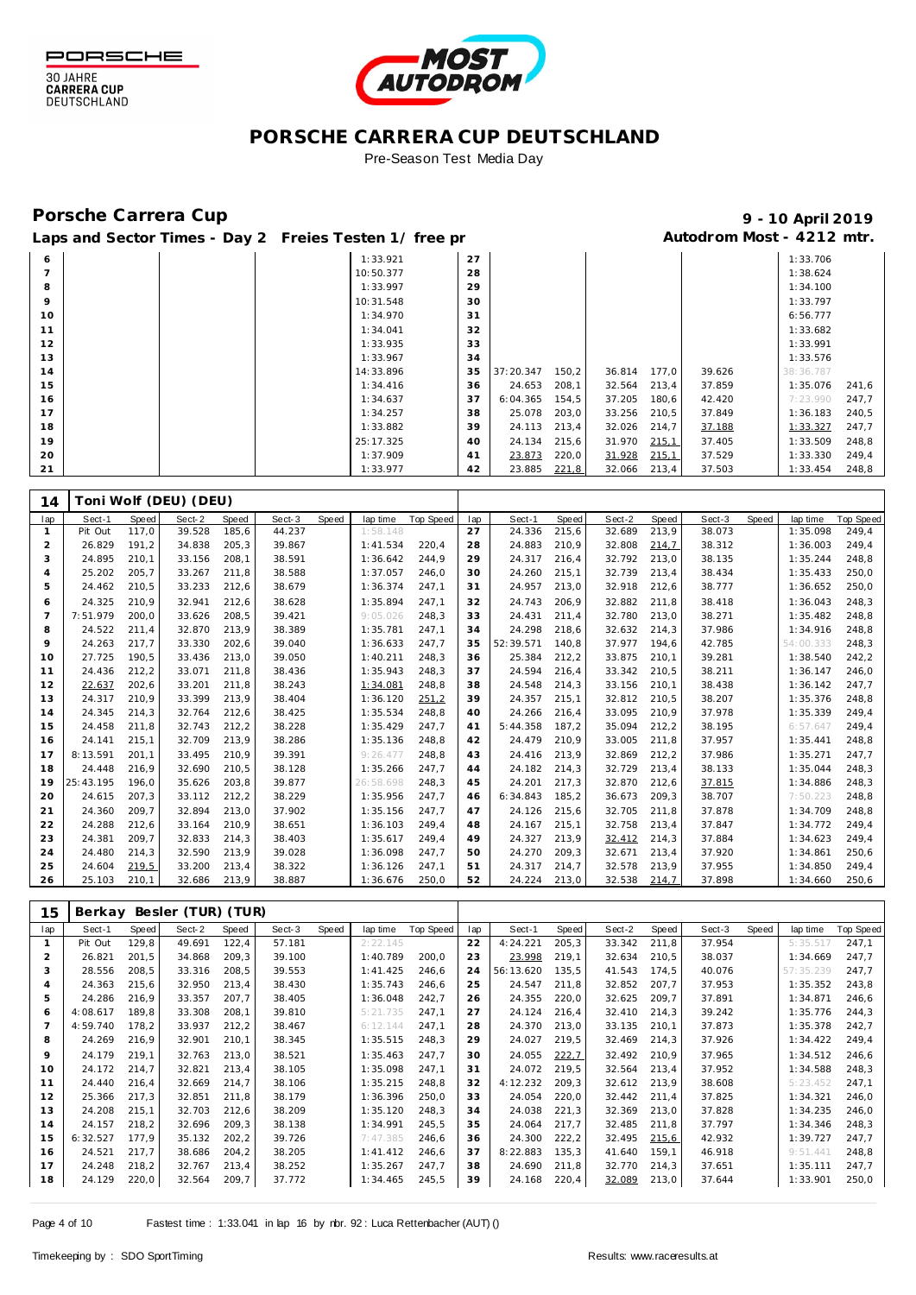



#### Pre-Season Test Media Day

#### Porsche Carrera Cup **10 April 2019 9 - 10 April 2019**

Laps and Sector Times - Day 2 Freies Testen 1/ free practic and Autodrom Most - 4212 mtr.

| 6              |  | 1:33.921  | 27 |           |       |        |       |        | 1:33.706  |       |
|----------------|--|-----------|----|-----------|-------|--------|-------|--------|-----------|-------|
| $\overline{7}$ |  | 10:50.377 | 28 |           |       |        |       |        | 1:38.624  |       |
| 8              |  | 1:33.997  | 29 |           |       |        |       |        | 1:34.100  |       |
| 9              |  | 10:31.548 | 30 |           |       |        |       |        | 1:33.797  |       |
| 10             |  | 1:34.970  | 31 |           |       |        |       |        | 6:56.777  |       |
| 11             |  | 1:34.041  | 32 |           |       |        |       |        | 1:33.682  |       |
| 12             |  | 1:33.935  | 33 |           |       |        |       |        | 1:33.991  |       |
| 13             |  | 1:33.967  | 34 |           |       |        |       |        | 1:33.576  |       |
| 14             |  | 14:33.896 | 35 | 37:20.347 | 150,2 | 36.814 | 177,0 | 39.626 | 38:36.787 |       |
| 15             |  | 1:34.416  | 36 | 24.653    | 208,1 | 32.564 | 213,4 | 37.859 | 1:35.076  | 241,6 |
| 16             |  | 1:34.637  | 37 | 6:04.365  | 154,5 | 37.205 | 180,6 | 42.420 | 7:23.990  | 247,7 |
| 17             |  | 1:34.257  | 38 | 25.078    | 203,0 | 33.256 | 210,5 | 37.849 | 1:36.183  | 240,5 |
| 18             |  | 1:33.882  | 39 | 24.113    | 213,4 | 32.026 | 214,7 | 37.188 | 1:33.327  | 247,7 |
| 19             |  | 25:17.325 | 40 | 24.134    | 215,6 | 31.970 | 215,1 | 37.405 | 1:33.509  | 248,8 |
| 20             |  | 1:37.909  | 41 | 23.873    | 220,0 | 31.928 | 215,1 | 37.529 | 1:33.330  | 249,4 |
| 21             |  | 1:33.977  | 42 | 23.885    | 221,8 | 32.066 | 213,4 | 37.503 | 1:33.454  | 248,8 |

| 14             |           |       | [oni Wolf (DEU) (DEU) |       |        |       |           |           |     |           |       |        |       |        |       |           |                  |
|----------------|-----------|-------|-----------------------|-------|--------|-------|-----------|-----------|-----|-----------|-------|--------|-------|--------|-------|-----------|------------------|
| lap            | Sect-1    | Speed | Sect-2                | Speed | Sect-3 | Speed | lap time  | Top Speed | lap | Sect-1    | Speed | Sect-2 | Speed | Sect-3 | Speed | lap time  | <b>Top Speed</b> |
|                | Pit Out   | 117,0 | 39.528                | 185,6 | 44.237 |       | 1:58.148  |           | 27  | 24.336    | 215,6 | 32.689 | 213,9 | 38.073 |       | 1:35.098  | 249,4            |
| 2              | 26.829    | 191,2 | 34.838                | 205,3 | 39.867 |       | 1:41.534  | 220.4     | 28  | 24.883    | 210,9 | 32.808 | 214,7 | 38.312 |       | 1:36.003  | 249.4            |
| 3              | 24.895    | 210.1 | 33.156                | 208,1 | 38.591 |       | 1:36.642  | 244,9     | 29  | 24.317    | 216,4 | 32.792 | 213,0 | 38.135 |       | 1:35.244  | 248,8            |
| 4              | 25.202    | 205,7 | 33.267                | 211,8 | 38.588 |       | 1:37.057  | 246,0     | 30  | 24.260    | 215,1 | 32.739 | 213,4 | 38.434 |       | 1:35.433  | 250,0            |
| 5              | 24.462    | 210,5 | 33.233                | 212,6 | 38.679 |       | 1:36.374  | 247,1     | 31  | 24.957    | 213,0 | 32.918 | 212,6 | 38.777 |       | 1:36.652  | 250,0            |
| 6              | 24.325    | 210,9 | 32.941                | 212,6 | 38.628 |       | 1:35.894  | 247,1     | 32  | 24.743    | 206,9 | 32.882 | 211,8 | 38.418 |       | 1:36.043  | 248,3            |
| $\overline{7}$ | 7:51.979  | 200.0 | 33.626                | 208,5 | 39.421 |       | 9:05.026  | 248,3     | 33  | 24.431    | 211,4 | 32.780 | 213,0 | 38.271 |       | 1:35.482  | 248,8            |
| 8              | 24.522    | 211.4 | 32.870                | 213,9 | 38.389 |       | 1:35.781  | 247,1     | 34  | 24.298    | 218,6 | 32.632 | 214.3 | 37.986 |       | 1:34.916  | 248,8            |
| 9              | 24.263    | 217.7 | 33.330                | 202,6 | 39.040 |       | 1:36.633  | 247,7     | 35  | 52:39.571 | 140,8 | 37.977 | 194.6 | 42.785 |       | 54:00.333 | 248,3            |
| 10             | 27.725    | 190.5 | 33.436                | 213,0 | 39.050 |       | 1:40.211  | 248.3     | 36  | 25.384    | 212,2 | 33.875 | 210.1 | 39.281 |       | 1:38.540  | 242,2            |
| 11             | 24.436    | 212,2 | 33.071                | 211,8 | 38.436 |       | 1:35.943  | 248,3     | 37  | 24.594    | 216,4 | 33.342 | 210,5 | 38.211 |       | 1:36.147  | 246,0            |
| 12             | 22.637    | 202,6 | 33.201                | 211,8 | 38.243 |       | 1:34.081  | 248,8     | 38  | 24.548    | 214,3 | 33.156 | 210,1 | 38.438 |       | 1:36.142  | 247,7            |
| 13             | 24.317    | 210.9 | 33.399                | 213,9 | 38.404 |       | 1:36.120  | 251,2     | 39  | 24.357    | 215,1 | 32.812 | 210.5 | 38.207 |       | 1:35.376  | 248,8            |
| 14             | 24.345    | 214.3 | 32.764                | 212,6 | 38.425 |       | 1:35.534  | 248,8     | 40  | 24.266    | 216,4 | 33.095 | 210.9 | 37.978 |       | 1:35.339  | 249.4            |
| 15             | 24.458    | 211,8 | 32.743                | 212,2 | 38.228 |       | 1:35.429  | 247.7     | 41  | 5:44.358  | 187.2 | 35.094 | 212,2 | 38.195 |       | 6:57.647  | 249,4            |
| 16             | 24.141    | 215,1 | 32.709                | 213,9 | 38.286 |       | 1:35.136  | 248,8     | 42  | 24.479    | 210,9 | 33.005 | 211,8 | 37.957 |       | 1:35.441  | 248,8            |
| 17             | 8:13.591  | 201.1 | 33.495                | 210,9 | 39.391 |       | 9:26.477  | 248,8     | 43  | 24.416    | 213,9 | 32.869 | 212,2 | 37.986 |       | 1:35.271  | 247,7            |
| 18             | 24.448    | 216.9 | 32.690                | 210,5 | 38.128 |       | 1:35.266  | 247,7     | 44  | 24.182    | 214,3 | 32.729 | 213,4 | 38.133 |       | 1:35.044  | 248,3            |
| 19             | 25:43.195 | 196.0 | 35.626                | 203,8 | 39.877 |       | 26:58.698 | 248,3     | 45  | 24.201    | 217,3 | 32.870 | 212,6 | 37.815 |       | 1:34.886  | 248,3            |
| 20             | 24.615    | 207.3 | 33.112                | 212,2 | 38.229 |       | 1:35.956  | 247,7     | 46  | 6:34.843  | 185,2 | 36.673 | 209,3 | 38.707 |       | 7:50.223  | 248,8            |
| 21             | 24.360    | 209.7 | 32.894                | 213,0 | 37.902 |       | 1:35.156  | 247,7     | 47  | 24.126    | 215,6 | 32.705 | 211,8 | 37.878 |       | 1:34.709  | 248,8            |
| 22             | 24.288    | 212.6 | 33.164                | 210.9 | 38.651 |       | 1:36.103  | 249.4     | 48  | 24.167    | 215.1 | 32.758 | 213.4 | 37.847 |       | 1:34.772  | 249.4            |
| 23             | 24.381    | 209,7 | 32.833                | 214,3 | 38.403 |       | 1:35.617  | 249,4     | 49  | 24.327    | 213,9 | 32.412 | 214,3 | 37.884 |       | 1:34.623  | 249,4            |
| 24             | 24.480    | 214,3 | 32.590                | 213,9 | 39.028 |       | 1:36.098  | 247,7     | 50  | 24.270    | 209,3 | 32.671 | 213,4 | 37.920 |       | 1:34.861  | 250,6            |
| 25             | 24.604    | 219,5 | 33.200                | 213,4 | 38.322 |       | 1:36.126  | 247,1     | 51  | 24.317    | 214.7 | 32.578 | 213,9 | 37.955 |       | 1:34.850  | 249,4            |
| 26             | 25.103    | 210.1 | 32.686                | 213,9 | 38.887 |       | 1:36.676  | 250.0     | 52  | 24.224    | 213.0 | 32.538 | 214,7 | 37.898 |       | 1:34.660  | 250,6            |

| 15  | Berkay   |       | Besler (TUR) (TUR) |       |        |       |          |           |     |           |              |        |       |        |       |           |           |
|-----|----------|-------|--------------------|-------|--------|-------|----------|-----------|-----|-----------|--------------|--------|-------|--------|-------|-----------|-----------|
| lap | Sect-1   | Speed | Sect-2             | Speed | Sect-3 | Speed | lap time | Top Speed | lap | Sect-1    | <b>Speed</b> | Sect-2 | Speed | Sect-3 | Speed | lap time  | Top Speed |
|     | Pit Out  | 129,8 | 49.691             | 122,4 | 57.181 |       | 2:22.145 |           | 22  | 4:24.221  | 205,3        | 33.342 | 211,8 | 37.954 |       | 5:35.51   | 247,1     |
| 2   | 26.821   | 201,5 | 34.868             | 209,3 | 39.100 |       | 1:40.789 | 200,0     | 23  | 23.998    | 219,1        | 32.634 | 210,5 | 38.037 |       | 1:34.669  | 247.7     |
| 3   | 28.556   | 208,5 | 33.316             | 208,5 | 39.553 |       | 1:41.425 | 246,6     | 24  | 56:13.620 | 135,5        | 41.543 | 174.5 | 40.076 |       | 57:35.239 | 247,7     |
| 4   | 24.363   | 215,6 | 32.950             | 213,4 | 38.430 |       | 1:35.743 | 246,6     | 25  | 24.547    | 211,8        | 32.852 | 207.7 | 37.953 |       | 1:35.352  | 243,8     |
| 5   | 24.286   | 216.9 | 33.357             | 207.7 | 38.405 |       | 1:36.048 | 242.7     | 26  | 24.355    | 220,0        | 32.625 | 209.7 | 37.891 |       | 1:34.871  | 246,6     |
| 6   | 4:08.617 | 189,8 | 33.308             | 208,1 | 39.810 |       | 5:21.735 | 247,1     | 27  | 24.124    | 216,4        | 32.410 | 214,3 | 39.242 |       | 1:35.776  | 244,3     |
|     | 4:59.740 | 178,2 | 33.937             | 212,2 | 38.467 |       | 6:12.144 | 247,1     | 28  | 24.370    | 213,0        | 33.135 | 210,1 | 37.873 |       | 1:35.378  | 242,7     |
| 8   | 24.269   | 216.9 | 32.901             | 210,1 | 38.345 |       | 1:35.515 | 248,3     | 29  | 24.027    | 219,5        | 32.469 | 214,3 | 37.926 |       | 1:34.422  | 249,4     |
| 9   | 24.179   | 219.1 | 32.763             | 213,0 | 38.521 |       | 1:35.463 | 247.7     | 30  | 24.055    | 222,7        | 32.492 | 210.9 | 37.965 |       | 1:34.512  | 246.6     |
| 10  | 24.172   | 214,7 | 32.821             | 213,4 | 38.105 |       | 1:35.098 | 247,1     | 31  | 24.072    | 219,5        | 32.564 | 213,4 | 37.952 |       | 1:34.588  | 248,3     |
| 11  | 24.440   | 216,4 | 32.669             | 214,7 | 38.106 |       | 1:35.215 | 248,8     | 32  | 4:12.232  | 209,3        | 32.612 | 213,9 | 38.608 |       | 5:23.452  | 247,1     |
| 12  | 25.366   | 217.3 | 32.851             | 211,8 | 38.179 |       | 1:36.396 | 250,0     | 33  | 24.054    | 220,0        | 32.442 | 211,4 | 37.825 |       | 1:34.321  | 246,0     |
| 13  | 24.208   | 215.1 | 32.703             | 212,6 | 38.209 |       | 1:35.120 | 248,3     | 34  | 24.038    | 221,3        | 32.369 | 213,0 | 37.828 |       | 1:34.235  | 246,0     |
| 14  | 24.157   | 218.2 | 32.696             | 209.3 | 38.138 |       | 1:34.991 | 245.5     | 35  | 24.064    | 217.7        | 32.485 | 211.8 | 37.797 |       | 1:34.346  | 248.3     |
| 15  | 6:32.527 | 177.9 | 35.132             | 202,2 | 39.726 |       | 7:47.385 | 246,6     | 36  | 24.300    | 222,2        | 32.495 | 215,6 | 42.932 |       | 1:39.727  | 247,7     |
| 16  | 24.521   | 217.7 | 38.686             | 204,2 | 38.205 |       | 1:41.412 | 246,6     | 37  | 8:22.883  | 135,3        | 41.640 | 159,1 | 46.918 |       | 9:51.441  | 248,8     |
| 17  | 24.248   | 218,2 | 32.767             | 213,4 | 38.252 |       | 1:35.267 | 247,7     | 38  | 24.690    | 211,8        | 32.770 | 214,3 | 37.651 |       | 1:35.111  | 247,7     |
| 18  | 24.129   | 220,0 | 32.564             | 209,7 | 37.772 |       | 1:34.465 | 245,5     | 39  | 24.168    | 220,4        | 32.089 | 213,0 | 37.644 |       | 1:33.901  | 250,0     |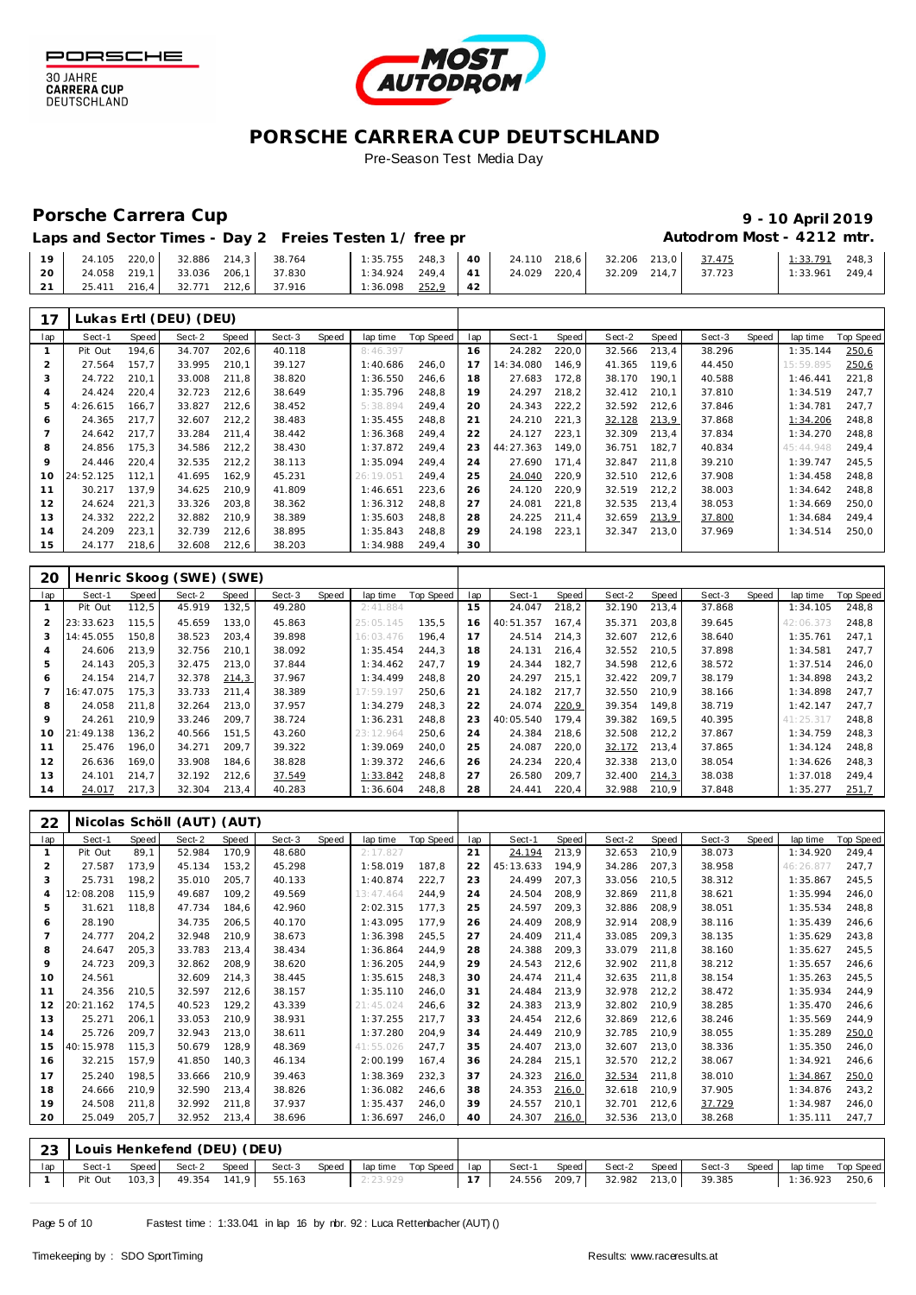



#### Porsche Carrera Cup **10 April 2019 9 - 10 April 2019**

# Autodrom Most - 4212 mtr.

| Laps and Sector Times - Day 2 Freies Testen 1/ free pr |  |
|--------------------------------------------------------|--|
|--------------------------------------------------------|--|

| 19 <sup>1</sup> | 24.105 220,0 32.886 214,3 38.764 |  |                                  |                                  |          |  |  | $1$ 1:35.755 248,3 40 24.110 218,6 32.206 213,0 37.475 | 1:33.791         | 248.3 |
|-----------------|----------------------------------|--|----------------------------------|----------------------------------|----------|--|--|--------------------------------------------------------|------------------|-------|
| 20              |                                  |  | 24.058 219.1 33.036 206.1 37.830 | $1:34.924$ 249,4 41 24.029 220,4 |          |  |  | 32.209 214.7 37.723                                    | $1:33.961$ 249.4 |       |
| 21              | 25.411 216.4 32.771 212.6 37.916 |  |                                  | 1:36.098                         | 252,9 42 |  |  |                                                        |                  |       |

| 17  |           |       | Lukas Ertl (DEU) (DEU) |       |        |       |           |           |     |           |       |        |       |        |       |           |                  |
|-----|-----------|-------|------------------------|-------|--------|-------|-----------|-----------|-----|-----------|-------|--------|-------|--------|-------|-----------|------------------|
| lap | Sect-1    | Speed | Sect-2                 | Speed | Sect-3 | Speed | lap time  | Top Speed | lap | Sect-1    | Speed | Sect-2 | Speed | Sect-3 | Speed | lap time  | <b>Top Speed</b> |
|     | Pit Out   | 194,6 | 34.707                 | 202,6 | 40.118 |       | 8:46.397  |           | 16  | 24.282    | 220,0 | 32.566 | 213,4 | 38.296 |       | 1:35.144  | 250,6            |
|     | 27.564    | 157.7 | 33.995                 | 210,1 | 39.127 |       | 1:40.686  | 246.0     | 17  | 14:34.080 | 146.9 | 41.365 | 119.6 | 44.450 |       | 15:59.895 | 250,6            |
|     | 24.722    | 210,1 | 33.008                 | 211,8 | 38.820 |       | 1:36.550  | 246,6     | 18  | 27.683    | 172,8 | 38.170 | 190,1 | 40.588 |       | 1:46.441  | 221,8            |
| 4   | 24.424    | 220,4 | 32.723                 | 212,6 | 38.649 |       | 1:35.796  | 248,8     | 19  | 24.297    | 218,2 | 32.412 | 210,1 | 37.810 |       | 1:34.519  | 247.7            |
| 5   | 4:26.615  | 166.7 | 33.827                 | 212,6 | 38.452 |       | 5:38.894  | 249.4     | 20  | 24.343    | 222,2 | 32.592 | 212,6 | 37.846 |       | 1:34.781  | 247.7            |
| 6   | 24.365    | 217.7 | 32.607                 | 212,2 | 38.483 |       | 1:35.455  | 248.8     | 21  | 24.210    | 221,3 | 32.128 | 213,9 | 37.868 |       | 1:34.206  | 248.8            |
|     | 24.642    | 217,7 | 33.284                 | 211.4 | 38.442 |       | 1:36.368  | 249,4     | 22  | 24.127    | 223,1 | 32.309 | 213.4 | 37.834 |       | 1:34.270  | 248.8            |
| 8   | 24.856    | 175,3 | 34.586                 | 212,2 | 38.430 |       | 1:37.872  | 249,4     | 23  | 44:27.363 | 149.0 | 36.751 | 182,7 | 40.834 |       | 45:44.948 | 249,4            |
| 9   | 24.446    | 220.4 | 32.535                 | 212,2 | 38.113 |       | 1:35.094  | 249.4     | 24  | 27.690    | 171.4 | 32.847 | 211.8 | 39.210 |       | 1:39.747  | 245.5            |
| 10  | 24:52.125 | 112,1 | 41.695                 | 162,9 | 45.231 |       | 26:19.051 | 249,4     | 25  | 24.040    | 220,9 | 32.510 | 212,6 | 37.908 |       | 1:34.458  | 248,8            |
| 11  | 30.217    | 137.9 | 34.625                 | 210,9 | 41.809 |       | 1:46.651  | 223,6     | 26  | 24.120    | 220,9 | 32.519 | 212,2 | 38.003 |       | 1:34.642  | 248,8            |
| 12  | 24.624    | 221.3 | 33.326                 | 203,8 | 38.362 |       | 1:36.312  | 248.8     | 27  | 24.081    | 221.8 | 32.535 | 213,4 | 38.053 |       | 1:34.669  | 250.0            |
| 13  | 24.332    | 222,2 | 32.882                 | 210.9 | 38.389 |       | 1:35.603  | 248.8     | 28  | 24.225    | 211.4 | 32.659 | 213,9 | 37.800 |       | 1:34.684  | 249.4            |
| 14  | 24.209    | 223,1 | 32.739                 | 212,6 | 38.895 |       | 1:35.843  | 248,8     | 29  | 24.198    | 223,1 | 32.347 | 213,0 | 37.969 |       | 1:34.514  | 250,0            |
| 15  | 24.177    | 218,6 | 32.608                 | 212,6 | 38.203 |       | 1:34.988  | 249,4     | 30  |           |       |        |       |        |       |           |                  |

| 20            |           |       | Henric Skoog (SWE) (SWE) |       |        |       |           |           |     |           |       |        |       |        |       |           |           |
|---------------|-----------|-------|--------------------------|-------|--------|-------|-----------|-----------|-----|-----------|-------|--------|-------|--------|-------|-----------|-----------|
| lap           | Sect-1    | Speed | Sect-2                   | Speed | Sect-3 | Speed | lap time  | Top Speed | lap | Sect-1    | Speed | Sect-2 | Speed | Sect-3 | Speed | lap time  | Top Speed |
|               | Pit Out   | 112.5 | 45.919                   | 132,5 | 49.280 |       | 2:41.884  |           | 15  | 24.047    | 218,2 | 32.190 | 213.4 | 37.868 |       | 1:34.105  | 248,8     |
| $\mathcal{P}$ | 23:33.623 | 115.5 | 45.659                   | 133.0 | 45.863 |       | 25:05.145 | 135.5     | 16  | 40:51.357 | 167.4 | 35.371 | 203.8 | 39.645 |       | 42:06.373 | 248.8     |
| 3             | 14:45.055 | 150,8 | 38.523                   | 203,4 | 39.898 |       | 16:03.476 | 196.4     |     | 24.514    | 214,3 | 32.607 | 212.6 | 38.640 |       | 1:35.761  | 247,1     |
| 4             | 24.606    | 213.9 | 32.756                   | 210,1 | 38.092 |       | 1:35.454  | 244.3     | 18  | 24.131    | 216,4 | 32.552 | 210.5 | 37.898 |       | 1:34.581  | 247,7     |
| 5             | 24.143    | 205.3 | 32.475                   | 213.0 | 37.844 |       | 1:34.462  | 247.7     | 19  | 24.344    | 182.7 | 34.598 | 212.6 | 38.572 |       | 1:37.514  | 246.0     |
| 6             | 24.154    | 214.7 | 32.378                   | 214,3 | 37.967 |       | 1:34.499  | 248.8     | 20  | 24.297    | 215,1 | 32.422 | 209.7 | 38.179 |       | 1:34.898  | 243,2     |
|               | 16:47.075 | 175.3 | 33.733                   | 211,4 | 38.389 |       | 17:59.197 | 250.6     | 21  | 24.182    | 217,7 | 32.550 | 210.9 | 38.166 |       | 1:34.898  | 247.7     |
| 8             | 24.058    | 211.8 | 32.264                   | 213,0 | 37.957 |       | 1:34.279  | 248.3     | 22  | 24.074    | 220,9 | 39.354 | 149.8 | 38.719 |       | 1:42.147  | 247,7     |
| $\circ$       | 24.261    | 210,9 | 33.246                   | 209,7 | 38.724 |       | 1:36.231  | 248.8     | 23  | 40:05.540 | 179.4 | 39.382 | 169.5 | 40.395 |       | 41:25.317 | 248,8     |
| 10            | 21:49.138 | 136,2 | 40.566                   | 151,5 | 43.260 |       | 23:12.964 | 250.6     | 24  | 24.384    | 218,6 | 32.508 | 212.2 | 37.867 |       | 1:34.759  | 248.3     |
| 11            | 25.476    | 196.0 | 34.271                   | 209.7 | 39.322 |       | 1:39.069  | 240.0     | 25  | 24.087    | 220,0 | 32.172 | 213.4 | 37.865 |       | 1:34.124  | 248.8     |
| 12            | 26.636    | 169.0 | 33.908                   | 184,6 | 38.828 |       | 1:39.372  | 246.6     | 26  | 24.234    | 220,4 | 32.338 | 213.0 | 38.054 |       | 1:34.626  | 248.3     |
| 13            | 24.101    | 214.7 | 32.192                   | 212,6 | 37.549 |       | 1:33.842  | 248.8     | 27  | 26.580    | 209.7 | 32.400 | 214,3 | 38.038 |       | 1:37.018  | 249.4     |
| 14            | 24.017    | 217,3 | 32.304                   | 213,4 | 40.283 |       | 1:36.604  | 248,8     | 28  | 24.441    | 220,4 | 32.988 | 210,9 | 37.848 |       | 1:35.277  | 251,7     |

| 22  |           |       | Nicolas Schöll (AUT) (AUT)  |       |        |       |           |           |     |           |       |        |       |        |       |           |                  |
|-----|-----------|-------|-----------------------------|-------|--------|-------|-----------|-----------|-----|-----------|-------|--------|-------|--------|-------|-----------|------------------|
| lap | Sect-1    | Speed | Sect-2                      | Speed | Sect-3 | Speed | lap time  | Top Speed | lap | Sect-1    | Speed | Sect-2 | Speed | Sect-3 | Speed | lap time  | <b>Top Speed</b> |
|     | Pit Out   | 89,1  | 52.984                      | 170,9 | 48.680 |       | 2:17.827  |           | 21  | 24.194    | 213,9 | 32.653 | 210,9 | 38.073 |       | 1:34.920  | 249,4            |
| 2   | 27.587    | 173,9 | 45.134                      | 153,2 | 45.298 |       | 1:58.019  | 187.8     | 22  | 45:13.633 | 194.9 | 34.286 | 207.3 | 38.958 |       | 46:26.877 | 247,7            |
| 3   | 25.731    | 198,2 | 35.010                      | 205,7 | 40.133 |       | 1:40.874  | 222,7     | 23  | 24.499    | 207.3 | 33.056 | 210,5 | 38.312 |       | 1:35.867  | 245,5            |
| 4   | 12:08.208 | 115,9 | 49.687                      | 109,2 | 49.569 |       | 13:47.464 | 244,9     | 24  | 24.504    | 208,9 | 32.869 | 211,8 | 38.621 |       | 1:35.994  | 246,0            |
| 5   | 31.621    | 118.8 | 47.734                      | 184.6 | 42.960 |       | 2:02.315  | 177.3     | 25  | 24.597    | 209.3 | 32.886 | 208.9 | 38.051 |       | 1:35.534  | 248,8            |
| 6   | 28.190    |       | 34.735                      | 206,5 | 40.170 |       | 1:43.095  | 177.9     | 26  | 24.409    | 208,9 | 32.914 | 208.9 | 38.116 |       | 1:35.439  | 246,6            |
|     | 24.777    | 204.2 | 32.948                      | 210.9 | 38.673 |       | 1:36.398  | 245,5     | 27  | 24.409    | 211.4 | 33.085 | 209.3 | 38.135 |       | 1:35.629  | 243,8            |
| 8   | 24.647    | 205,3 | 33.783                      | 213,4 | 38.434 |       | 1:36.864  | 244,9     | 28  | 24.388    | 209,3 | 33.079 | 211.8 | 38.160 |       | 1:35.627  | 245,5            |
| 9   | 24.723    | 209,3 | 32.862                      | 208,9 | 38.620 |       | 1:36.205  | 244,9     | 29  | 24.543    | 212,6 | 32.902 | 211,8 | 38.212 |       | 1:35.657  | 246,6            |
| 10  | 24.561    |       | 32.609                      | 214,3 | 38.445 |       | 1:35.615  | 248,3     | 30  | 24.474    | 211,4 | 32.635 | 211,8 | 38.154 |       | 1:35.263  | 245,5            |
| 11  | 24.356    | 210.5 | 32.597                      | 212,6 | 38.157 |       | 1:35.110  | 246.0     | 31  | 24.484    | 213.9 | 32.978 | 212,2 | 38.472 |       | 1:35.934  | 244,9            |
| 12  | 20:21.162 | 174,5 | 40.523                      | 129,2 | 43.339 |       | 21:45.024 | 246,6     | 32  | 24.383    | 213.9 | 32.802 | 210,9 | 38.285 |       | 1:35.470  | 246,6            |
| 13  | 25.271    | 206.1 | 33.053                      | 210,9 | 38.931 |       | 1:37.255  | 217.7     | 33  | 24.454    | 212,6 | 32.869 | 212,6 | 38.246 |       | 1:35.569  | 244,9            |
| 14  | 25.726    | 209.7 | 32.943                      | 213,0 | 38.611 |       | 1:37.280  | 204.9     | 34  | 24.449    | 210.9 | 32.785 | 210,9 | 38.055 |       | 1:35.289  | 250,0            |
| 15  | 40:15.978 | 115.3 | 50.679                      | 128,9 | 48.369 |       | 41:55.026 | 247,7     | 35  | 24.407    | 213,0 | 32.607 | 213,0 | 38.336 |       | 1:35.350  | 246,0            |
| 16  | 32.215    | 157,9 | 41.850                      | 140,3 | 46.134 |       | 2:00.199  | 167,4     | 36  | 24.284    | 215,1 | 32.570 | 212,2 | 38.067 |       | 1:34.921  | 246,6            |
| 17  | 25.240    | 198,5 | 33.666                      | 210.9 | 39.463 |       | 1:38.369  | 232,3     | 37  | 24.323    | 216,0 | 32.534 | 211.8 | 38.010 |       | 1:34.867  | 250,0            |
| 18  | 24.666    | 210.9 | 32.590                      | 213,4 | 38.826 |       | 1:36.082  | 246,6     | 38  | 24.353    | 216,0 | 32.618 | 210.9 | 37.905 |       | 1:34.876  | 243,2            |
| 19  | 24.508    | 211,8 | 32.992                      | 211,8 | 37.937 |       | 1:35.437  | 246,0     | 39  | 24.557    | 210.1 | 32.701 | 212,6 | 37.729 |       | 1:34.987  | 246,0            |
| 20  | 25.049    | 205.7 | 32.952                      | 213,4 | 38.696 |       | 1:36.697  | 246,0     | 40  | 24.307    | 216,0 | 32.536 | 213,0 | 38.268 |       | 1:35.111  | 247,7            |
|     |           |       |                             |       |        |       |           |           |     |           |       |        |       |        |       |           |                  |
| 23  |           |       | Louis Henkefend (DEU) (DEU) |       |        |       |           |           |     |           |       |        |       |        |       |           |                  |

lap | Sect-1 Speed | Sect-2 Speed | Sect-3 Speed | lap time Top Speed | lap | Sect-1 Speed | Sect-2 Speed | Sect-3 Speed | lap time Top Speed

| Page 5 of 10 |  |  |
|--------------|--|--|
|              |  |  |

Pit Out 103,3 49.354 141,9 55.163 2:23.929

24.556 209,7 32.982 213,0 39.385 1:36.923 250,6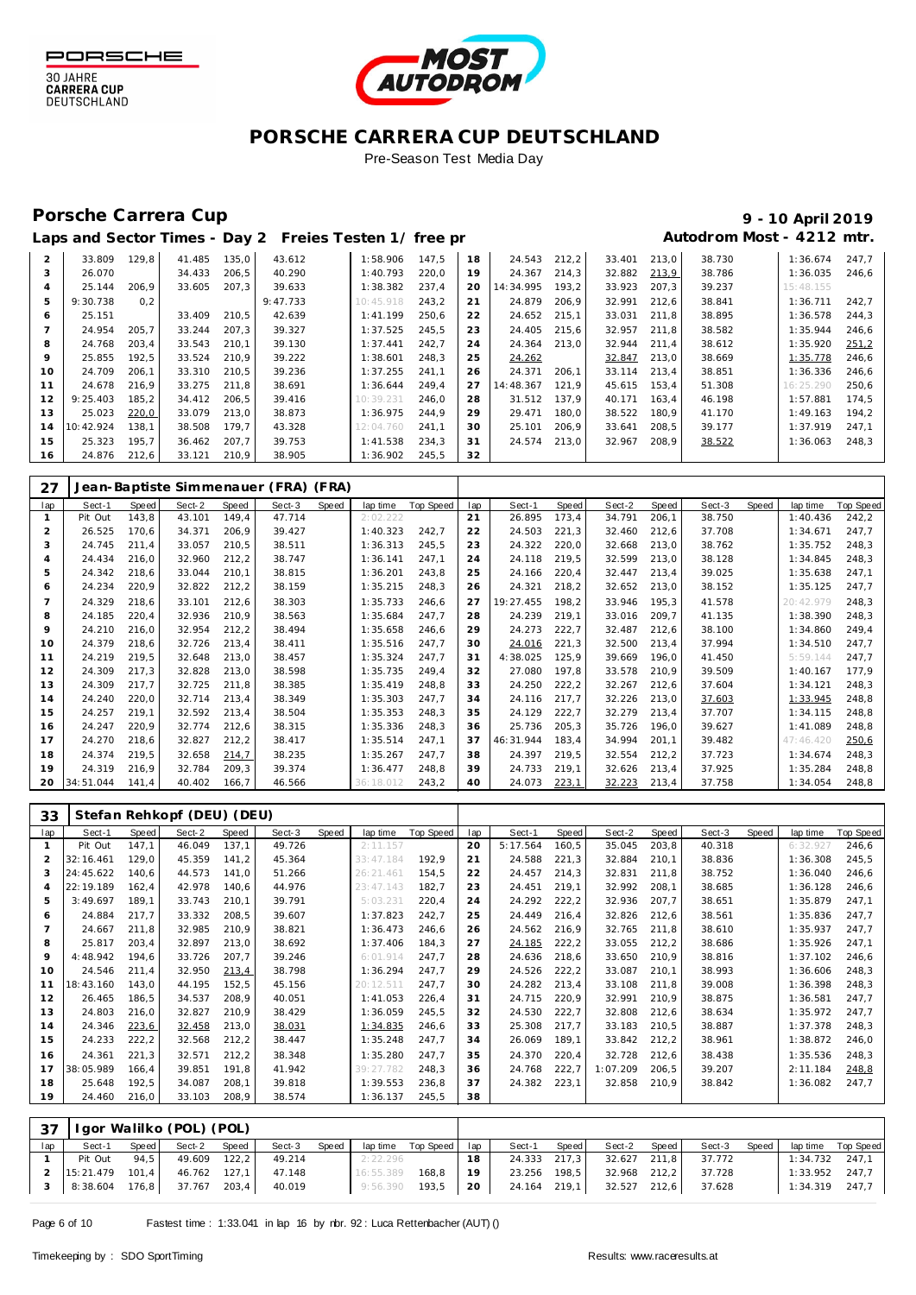





#### Porsche Carrera Cup **10 April 2019 9 - 10 April 2019**

# Laps and Sector Times - Day 2 Freies Testen 1/ free practic and **Autodrom Most - 4212 mtr.**

| $\overline{2}$ | 33.809    | 129.8 | 41.485 | 135.0 | 43.612   | 1:58.906  | 147.5 | 18 | 24.543    | 212,2 | 33.401 | 213.0 | 38.730 | 1:36.674  | 247.7 |
|----------------|-----------|-------|--------|-------|----------|-----------|-------|----|-----------|-------|--------|-------|--------|-----------|-------|
| 3              | 26.070    |       | 34.433 | 206.5 | 40.290   | 1:40.793  | 220.0 | 19 | 24.367    | 214.3 | 32.882 | 213,9 | 38.786 | 1:36.035  | 246.6 |
| 4              | 25.144    | 206.9 | 33.605 | 207.3 | 39.633   | 1:38.382  | 237.4 | 20 | 14:34.995 | 193.2 | 33.923 | 207.3 | 39.237 | 15:48.155 |       |
| 5              | 9:30.738  | 0.2   |        |       | 9:47.733 | 10:45.918 | 243.2 | 21 | 24.879    | 206.9 | 32.991 | 212.6 | 38.841 | 1:36.711  | 242.7 |
| 6              | 25.151    |       | 33.409 | 210.5 | 42.639   | 1:41.199  | 250.6 | 22 | 24.652    | 215.1 | 33.031 | 211.8 | 38.895 | 1:36.578  | 244.3 |
|                | 24.954    | 205.7 | 33.244 | 207.3 | 39.327   | 1:37.525  | 245.5 | 23 | 24.405    | 215.6 | 32.957 | 211.8 | 38.582 | 1:35.944  | 246.6 |
| 8              | 24.768    | 203.4 | 33.543 | 210.1 | 39.130   | 1:37.441  | 242.7 | 24 | 24.364    | 213.0 | 32.944 | 211.4 | 38.612 | 1:35.920  | 251,2 |
| $\circ$        | 25.855    | 192.5 | 33.524 | 210.9 | 39.222   | 1:38.601  | 248.3 | 25 | 24.262    |       | 32.847 | 213.0 | 38.669 | 1:35.778  | 246.6 |
| 10             | 24.709    | 206.1 | 33.310 | 210.5 | 39.236   | 1:37.255  | 241.1 | 26 | 24.371    | 206.1 | 33.114 | 213.4 | 38.851 | 1:36.336  | 246.6 |
| 11             | 24.678    | 216,9 | 33.275 | 211.8 | 38.691   | 1:36.644  | 249.4 | 27 | 14:48.367 | 121.9 | 45.615 | 153.4 | 51.308 | 16:25.290 | 250.6 |
| 12             | 9:25.403  | 185.2 | 34.412 | 206.5 | 39.416   | 10:39.231 | 246.0 | 28 | 31.512    | 137.9 | 40.171 | 163.4 | 46.198 | 1:57.881  | 174.5 |
| 13             | 25.023    | 220,0 | 33.079 | 213,0 | 38.873   | 1:36.975  | 244.9 | 29 | 29.471    | 180.0 | 38.522 | 180.9 | 41.170 | 1:49.163  | 194.2 |
| 14             | 10:42.924 | 138.1 | 38.508 | 179.7 | 43.328   | 12:04.760 | 241.1 | 30 | 25.101    | 206.9 | 33.641 | 208.5 | 39.177 | 1:37.919  | 247.1 |
| 15             | 25.323    | 195.7 | 36.462 | 207.7 | 39.753   | 1:41.538  | 234.3 | 31 | 24.574    | 213.0 | 32.967 | 208.9 | 38.522 | 1:36.063  | 248.3 |
| 16             | 24.876    | 212.6 | 33.121 | 210.9 | 38.905   | 1:36.902  | 245.5 | 32 |           |       |        |       |        |           |       |

| 27  |           |       |        |       | Jean-Baptiste Simmenauer (FRA) (FRA) |       |           |           |     |           |       |        |        |        |       |           |                  |
|-----|-----------|-------|--------|-------|--------------------------------------|-------|-----------|-----------|-----|-----------|-------|--------|--------|--------|-------|-----------|------------------|
| lap | Sect-1    | Speed | Sect-2 | Speed | Sect-3                               | Speed | lap time  | Top Speed | lap | Sect-1    | Speed | Sect-2 | Speed  | Sect-3 | Speed | lap time  | <b>Top Speed</b> |
|     | Pit Out   | 143,8 | 43.101 | 149,4 | 47.714                               |       | 2:02.222  |           | 21  | 26.895    | 173,4 | 34.791 | 206, 1 | 38.750 |       | 1:40.436  | 242,2            |
|     | 26.525    | 170.6 | 34.371 | 206,9 | 39.427                               |       | 1:40.323  | 242.7     | 22  | 24.503    | 221,3 | 32.460 | 212,6  | 37.708 |       | 1:34.671  | 247,7            |
| 3   | 24.745    | 211,4 | 33.057 | 210,5 | 38.511                               |       | 1:36.313  | 245.5     | 23  | 24.322    | 220,0 | 32.668 | 213,0  | 38.762 |       | 1:35.752  | 248,3            |
| 4   | 24.434    | 216,0 | 32.960 | 212,2 | 38.747                               |       | 1:36.141  | 247,1     | 24  | 24.118    | 219,5 | 32.599 | 213,0  | 38.128 |       | 1:34.845  | 248,3            |
| 5   | 24.342    | 218,6 | 33.044 | 210,1 | 38.815                               |       | 1:36.201  | 243.8     | 25  | 24.166    | 220,4 | 32.447 | 213,4  | 39.025 |       | 1:35.638  | 247,1            |
| 6   | 24.234    | 220,9 | 32.822 | 212,2 | 38.159                               |       | 1:35.215  | 248,3     | 26  | 24.321    | 218,2 | 32.652 | 213,0  | 38.152 |       | 1:35.125  | 247,7            |
|     | 24.329    | 218.6 | 33.101 | 212,6 | 38.303                               |       | 1:35.733  | 246.6     | 27  | 19:27.455 | 198,2 | 33.946 | 195,3  | 41.578 |       | 20:42.979 | 248,3            |
| 8   | 24.185    | 220,4 | 32.936 | 210,9 | 38.563                               |       | 1:35.684  | 247,7     | 28  | 24.239    | 219,1 | 33.016 | 209.7  | 41.135 |       | 1:38.390  | 248,3            |
| 9   | 24.210    | 216,0 | 32.954 | 212,2 | 38.494                               |       | 1:35.658  | 246.6     | 29  | 24.273    | 222,7 | 32.487 | 212,6  | 38.100 |       | 1:34.860  | 249,4            |
| 10  | 24.379    | 218.6 | 32.726 | 213,4 | 38.411                               |       | 1:35.516  | 247.7     | 30  | 24.016    | 221,3 | 32.500 | 213,4  | 37.994 |       | 1:34.510  | 247,7            |
| 11  | 24.219    | 219,5 | 32.648 | 213,0 | 38.457                               |       | 1:35.324  | 247,7     | 31  | 4:38.025  | 125,9 | 39.669 | 196.0  | 41.450 |       | 5:59.144  | 247,7            |
| 12  | 24.309    | 217,3 | 32.828 | 213,0 | 38.598                               |       | 1:35.735  | 249.4     | 32  | 27.080    | 197,8 | 33.578 | 210,9  | 39.509 |       | 1:40.167  | 177,9            |
| 13  | 24.309    | 217.7 | 32.725 | 211,8 | 38.385                               |       | 1:35.419  | 248.8     | 33  | 24.250    | 222,2 | 32.267 | 212,6  | 37.604 |       | 1:34.121  | 248,3            |
| 14  | 24.240    | 220,0 | 32.714 | 213,4 | 38.349                               |       | 1:35.303  | 247.7     | 34  | 24.116    | 217.7 | 32.226 | 213,0  | 37.603 |       | 1:33.945  | 248,8            |
| 15  | 24.257    | 219,1 | 32.592 | 213,4 | 38.504                               |       | 1:35.353  | 248.3     | 35  | 24.129    | 222,7 | 32.279 | 213,4  | 37.707 |       | 1:34.115  | 248,8            |
| 16  | 24.247    | 220.9 | 32.774 | 212,6 | 38.315                               |       | 1:35.336  | 248.3     | 36  | 25.736    | 205,3 | 35.726 | 196.0  | 39.627 |       | 1:41.089  | 248,8            |
| 17  | 24.270    | 218.6 | 32.827 | 212,2 | 38.417                               |       | 1:35.514  | 247.1     | 37  | 46:31.944 | 183.4 | 34.994 | 201,1  | 39.482 |       | 47:46.420 | 250.6            |
| 18  | 24.374    | 219.5 | 32.658 | 214,7 | 38.235                               |       | 1:35.267  | 247.7     | 38  | 24.397    | 219,5 | 32.554 | 212,2  | 37.723 |       | 1:34.674  | 248,3            |
| 19  | 24.319    | 216,9 | 32.784 | 209,3 | 39.374                               |       | 1:36.477  | 248.8     | 39  | 24.733    | 219,1 | 32.626 | 213,4  | 37.925 |       | 1:35.284  | 248,8            |
| 20  | 34:51.044 | 141.4 | 40.402 | 166.7 | 46.566                               |       | 36:18.012 | 243,2     | 40  | 24.073    | 223,1 | 32.223 | 213,4  | 37.758 |       | 1:34.054  | 248,8            |

| 33  |           |       | Stefan Rehkopf (DEU) (DEU) |       |        |       |           |                  |     |          |       |          |       |        |       |          |           |
|-----|-----------|-------|----------------------------|-------|--------|-------|-----------|------------------|-----|----------|-------|----------|-------|--------|-------|----------|-----------|
| lap | Sect-1    | Speed | Sect-2                     | Speed | Sect-3 | Speed | lap time  | <b>Top Speed</b> | lap | Sect-1   | Speed | Sect-2   | Speed | Sect-3 | Speed | lap time | Top Speed |
|     | Pit Out   | 147,1 | 46.049                     | 137,1 | 49.726 |       | 2:11.157  |                  | 20  | 5:17.564 | 160,5 | 35.045   | 203,8 | 40.318 |       | 6:32.927 | 246,6     |
|     | 32:16.461 | 129.0 | 45.359                     | 141,2 | 45.364 |       | 33:47.184 | 192,9            | 21  | 24.588   | 221,3 | 32.884   | 210,1 | 38.836 |       | 1:36.308 | 245,5     |
|     | 24:45.622 | 140,6 | 44.573                     | 141.0 | 51.266 |       | 26:21.461 | 154,5            | 22  | 24.457   | 214,3 | 32.831   | 211,8 | 38.752 |       | 1:36.040 | 246,6     |
| 4   | 22:19.189 | 162,4 | 42.978                     | 140,6 | 44.976 |       | 23:47.143 | 182,7            | 23  | 24.451   | 219,1 | 32.992   | 208,1 | 38.685 |       | 1:36.128 | 246,6     |
| 5   | 3:49.697  | 189.1 | 33.743                     | 210.1 | 39.791 |       | 5:03.231  | 220,4            | 24  | 24.292   | 222,2 | 32.936   | 207.7 | 38.651 |       | 1:35.879 | 247,1     |
| 6   | 24.884    | 217,7 | 33.332                     | 208,5 | 39.607 |       | 1:37.823  | 242,7            | 25  | 24.449   | 216,4 | 32.826   | 212,6 | 38.561 |       | 1:35.836 | 247,7     |
|     | 24.667    | 211,8 | 32.985                     | 210,9 | 38.821 |       | 1:36.473  | 246,6            | 26  | 24.562   | 216,9 | 32.765   | 211,8 | 38.610 |       | 1:35.937 | 247,7     |
| 8   | 25.817    | 203,4 | 32.897                     | 213,0 | 38.692 |       | 1:37.406  | 184.3            | 27  | 24.185   | 222,2 | 33.055   | 212,2 | 38.686 |       | 1:35.926 | 247,1     |
| 9   | 4:48.942  | 194,6 | 33.726                     | 207,7 | 39.246 |       | 6:01.914  | 247.7            | 28  | 24.636   | 218,6 | 33.650   | 210,9 | 38.816 |       | 1:37.102 | 246,6     |
| 10  | 24.546    | 211,4 | 32.950                     | 213,4 | 38.798 |       | 1:36.294  | 247,7            | 29  | 24.526   | 222,2 | 33.087   | 210,1 | 38.993 |       | 1:36.606 | 248,3     |
| 11  | 18:43.160 | 143,0 | 44.195                     | 152,5 | 45.156 |       | 20:12.511 | 247,7            | 30  | 24.282   | 213,4 | 33.108   | 211,8 | 39.008 |       | 1:36.398 | 248,3     |
| 12  | 26.465    | 186,5 | 34.537                     | 208,9 | 40.051 |       | 1:41.053  | 226,4            | 31  | 24.715   | 220,9 | 32.991   | 210,9 | 38.875 |       | 1:36.581 | 247,7     |
| 13  | 24.803    | 216,0 | 32.827                     | 210,9 | 38.429 |       | 1:36.059  | 245,5            | 32  | 24.530   | 222,7 | 32.808   | 212,6 | 38.634 |       | 1:35.972 | 247,7     |
| 14  | 24.346    | 223,6 | 32.458                     | 213,0 | 38.031 |       | 1:34.835  | 246,6            | 33  | 25.308   | 217,7 | 33.183   | 210,5 | 38.887 |       | 1:37.378 | 248,3     |
| 15  | 24.233    | 222,2 | 32.568                     | 212,2 | 38.447 |       | 1:35.248  | 247,7            | 34  | 26.069   | 189,1 | 33.842   | 212,2 | 38.961 |       | 1:38.872 | 246,0     |
| 16  | 24.361    | 221,3 | 32.571                     | 212,2 | 38.348 |       | 1:35.280  | 247.7            | 35  | 24.370   | 220,4 | 32.728   | 212,6 | 38.438 |       | 1:35.536 | 248,3     |
| 17  | 38:05.989 | 166,4 | 39.851                     | 191.8 | 41.942 |       | 39:27.782 | 248,3            | 36  | 24.768   | 222.7 | 1:07.209 | 206.5 | 39.207 |       | 2:11.184 | 248.8     |
| 18  | 25.648    | 192,5 | 34.087                     | 208,1 | 39.818 |       | 1:39.553  | 236,8            | 37  | 24.382   | 223,1 | 32.858   | 210.9 | 38.842 |       | 1:36.082 | 247,7     |
| 19  | 24.460    | 216,0 | 33.103                     | 208,9 | 38.574 |       | 1:36.137  | 245,5            | 38  |          |       |          |       |        |       |          |           |
|     |           |       |                            |       |        |       |           |                  |     |          |       |          |       |        |       |          |           |
|     |           | .     | $\lambda = -1$             |       |        |       |           |                  |     |          |       |          |       |        |       |          |           |

|     | 37   Igor Walilko (POL) (POL)         |       |  |  |          |      |                                           |                                                                           |                                 |  |                  |
|-----|---------------------------------------|-------|--|--|----------|------|-------------------------------------------|---------------------------------------------------------------------------|---------------------------------|--|------------------|
| lap | Sect-1                                | Speed |  |  |          |      |                                           | Sect-2 Speed Sect-3 Speed laptime Top Speed lap Sect-1 Speed Sect-2 Speed | Sect-3 Speed lap time Top Speed |  |                  |
|     | Pit Out 94,5 49.609 122,2 49.214      |       |  |  | 2:22.296 | 18 I | 24.333 217.3                              |                                                                           | 32.627 211,8 37.772             |  | $1:34.732$ 247,1 |
|     | 2 15:21.479 101.4 46.762 127.1 47.148 |       |  |  |          |      | $16:55.389$ $168.8$ $19$ $23.256$ $198.5$ |                                                                           | 32.968 212,2 37.728             |  | $1:33.952$ 247.7 |
|     |                                       |       |  |  |          |      |                                           |                                                                           |                                 |  | $1:34.319$ 247.7 |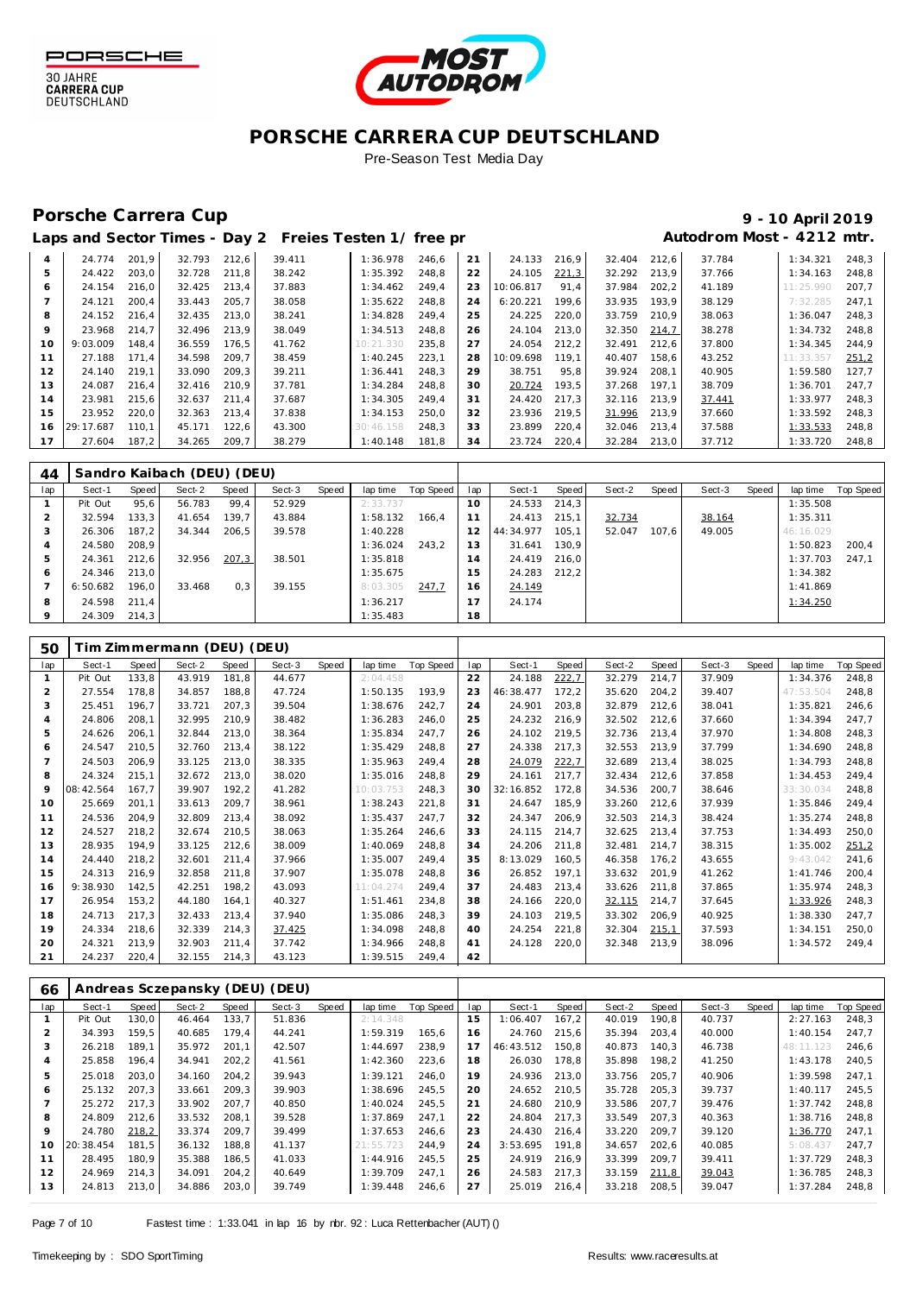



Pre-Season Test Media Day

### Porsche Carrera Cup **10 April 2019 9 - 10 April 2019**

# Laps and Sector Times - Day 2 Freies Testen 1/ free practic and **Autodrom Most - 4212 mtr.**

| 4       | 24.774    | 201.9 | 32.793 | 212.6 | 39.411 | 1:36.978  | 246.6 | 21 | 24.133    | 216.9 | 32.404 | 212,6 | 37.784 | 1:34.321  | 248.3 |
|---------|-----------|-------|--------|-------|--------|-----------|-------|----|-----------|-------|--------|-------|--------|-----------|-------|
| 5.      | 24.422    | 203.0 | 32.728 | 211.8 | 38.242 | 1:35.392  | 248.8 | 22 | 24.105    | 221,3 | 32.292 | 213.9 | 37.766 | 1:34.163  | 248.8 |
| 6       | 24.154    | 216.0 | 32.425 | 213.4 | 37.883 | 1:34.462  | 249.4 | 23 | 10:06.817 | 91.4  | 37.984 | 202.2 | 41.189 | 11:25.990 | 207.7 |
|         | 24.121    | 200.4 | 33.443 | 205.7 | 38.058 | 1:35.622  | 248.8 | 24 | 6:20.221  | 199.6 | 33.935 | 193.9 | 38.129 | 7:32.285  | 247.1 |
| 8       | 24.152    | 216.4 | 32.435 | 213.0 | 38.241 | 1:34.828  | 249.4 | 25 | 24.225    | 220.0 | 33.759 | 210.9 | 38.063 | 1:36.047  | 248.3 |
| $\circ$ | 23.968    | 214.7 | 32.496 | 213.9 | 38.049 | 1:34.513  | 248.8 | 26 | 24.104    | 213.0 | 32.350 | 214.7 | 38.278 | 1:34.732  | 248.8 |
| 10      | 9:03.009  | 148.4 | 36.559 | 176.5 | 41.762 | 10:21.330 | 235.8 | 27 | 24.054    | 212.2 | 32.491 | 212.6 | 37.800 | 1:34.345  | 244.9 |
| 11      | 27.188    | 171.4 | 34.598 | 209.7 | 38.459 | 1:40.245  | 223.1 | 28 | 10:09.698 | 119.1 | 40.407 | 158.6 | 43.252 | 11:33.357 | 251.2 |
| 12      | 24.140    | 219.1 | 33.090 | 209.3 | 39.211 | 1:36.441  | 248.3 | 29 | 38.751    | 95.8  | 39.924 | 208.1 | 40.905 | 1:59.580  | 127.7 |
| 13      | 24.087    | 216.4 | 32.416 | 210.9 | 37.781 | 1:34.284  | 248.8 | 30 | 20.724    | 193.5 | 37.268 | 197.1 | 38.709 | 1:36.701  | 247.7 |
| 14      | 23.981    | 215.6 | 32.637 | 211.4 | 37.687 | 1:34.305  | 249.4 | 31 | 24.420    | 217.3 | 32.116 | 213.9 | 37.441 | 1:33.977  | 248.3 |
| 15      | 23.952    | 220.0 | 32.363 | 213.4 | 37.838 | 1:34.153  | 250.0 | 32 | 23.936    | 219.5 | 31.996 | 213.9 | 37.660 | 1:33.592  | 248.3 |
| 16      | 29:17.687 | 110.1 | 45.171 | 122,6 | 43.300 | 30:46.158 | 248.3 | 33 | 23.899    | 220.4 | 32.046 | 213.4 | 37.588 | 1:33.533  | 248.8 |
| 17      | 27.604    | 187,2 | 34.265 | 209,7 | 38.279 | 1:40.148  | 181.8 | 34 | 23.724    | 220.4 | 32.284 | 213.0 | 37.712 | 1:33.720  | 248.8 |
|         |           |       |        |       |        |           |       |    |           |       |        |       |        |           |       |

| 44  |          |       | Sandro Kaibach (DEU) (DEU) |       |        |       |          |           |     |           |       |        |       |        |       |           |           |
|-----|----------|-------|----------------------------|-------|--------|-------|----------|-----------|-----|-----------|-------|--------|-------|--------|-------|-----------|-----------|
| lap | Sect-1   | Speed | Sect-2                     | Speed | Sect-3 | Speed | lap time | Top Speed | lap | Sect-1    | Speed | Sect-2 | Speed | Sect-3 | Speed | lap time  | Top Speed |
|     | Pit Out  | 95,6  | 56.783                     | 99,4  | 52.929 |       | 2:33.737 |           | 10  | 24.533    | 214.3 |        |       |        |       | 1:35.508  |           |
|     | 32.594   | 133,3 | 41.654                     | 139,7 | 43.884 |       | 1:58.132 | 166.4     | 11  | 24.413    | 215.1 | 32.734 |       | 38.164 |       | 1:35.311  |           |
| 3   | 26.306   | 187.2 | 34.344                     | 206.5 | 39.578 |       | 1:40.228 |           | 12  | 44:34.977 | 105.1 | 52.047 | 107.6 | 49.005 |       | 46:16.029 |           |
| 4   | 24.580   | 208.9 |                            |       |        |       | 1:36.024 | 243.2     | 13  | 31.641    | 130.9 |        |       |        |       | 1:50.823  | 200.4     |
| 5   | 24.361   | 212,6 | 32.956                     | 207,3 | 38.501 |       | 1:35.818 |           | 14  | 24.419    | 216.0 |        |       |        |       | 1:37.703  | 247.1     |
| O   | 24.346   | 213.0 |                            |       |        |       | 1:35.675 |           | 15  | 24.283    | 212.2 |        |       |        |       | 1:34.382  |           |
|     | 6:50.682 | 196.0 | 33.468                     | 0,3   | 39.155 |       | 8:03.305 | 247.7     | 16  | 24.149    |       |        |       |        |       | 1:41.869  |           |
| 8   | 24.598   | 211.4 |                            |       |        |       | 1:36.217 |           | 17  | 24.174    |       |        |       |        |       | 1:34.250  |           |
| 9   | 24.309   | 214.3 |                            |       |        |       | 1:35.483 |           | 18  |           |       |        |       |        |       |           |           |

| 50             |           |       | Tim Zimmermann (DEU) (DEU) |       |        |       |           |           |     |           |       |        |       |        |       |           |                  |
|----------------|-----------|-------|----------------------------|-------|--------|-------|-----------|-----------|-----|-----------|-------|--------|-------|--------|-------|-----------|------------------|
| lap            | Sect-1    | Speed | Sect-2                     | Speed | Sect-3 | Speed | lap time  | Top Speed | lap | Sect-1    | Speed | Sect-2 | Speed | Sect-3 | Speed | lap time  | <b>Top Speed</b> |
| 1              | Pit Out   | 133,8 | 43.919                     | 181.8 | 44.677 |       | 2:04.458  |           | 22  | 24.188    | 222,7 | 32.279 | 214,7 | 37.909 |       | 1:34.376  | 248,8            |
| $\overline{2}$ | 27.554    | 178,8 | 34.857                     | 188,8 | 47.724 |       | 1:50.135  | 193,9     | 23  | 46:38.477 | 172,2 | 35.620 | 204,2 | 39.407 |       | 47:53.504 | 248,8            |
| 3              | 25.451    | 196.7 | 33.721                     | 207,3 | 39.504 |       | 1:38.676  | 242,7     | 24  | 24.901    | 203,8 | 32.879 | 212,6 | 38.041 |       | 1:35.821  | 246,6            |
| $\overline{4}$ | 24.806    | 208,1 | 32.995                     | 210,9 | 38.482 |       | 1:36.283  | 246.0     | 25  | 24.232    | 216.9 | 32.502 | 212,6 | 37.660 |       | 1:34.394  | 247.7            |
| 5              | 24.626    | 206.1 | 32.844                     | 213,0 | 38.364 |       | 1:35.834  | 247,7     | 26  | 24.102    | 219,5 | 32.736 | 213.4 | 37.970 |       | 1:34.808  | 248,3            |
| 6              | 24.547    | 210,5 | 32.760                     | 213,4 | 38.122 |       | 1:35.429  | 248.8     | 27  | 24.338    | 217,3 | 32.553 | 213,9 | 37.799 |       | 1:34.690  | 248,8            |
|                | 24.503    | 206,9 | 33.125                     | 213,0 | 38.335 |       | 1:35.963  | 249,4     | 28  | 24.079    | 222,7 | 32.689 | 213,4 | 38.025 |       | 1:34.793  | 248,8            |
| 8              | 24.324    | 215,1 | 32.672                     | 213,0 | 38.020 |       | 1:35.016  | 248,8     | 29  | 24.161    | 217.7 | 32.434 | 212,6 | 37.858 |       | 1:34.453  | 249.4            |
| $\circ$        | 08:42.564 | 167.7 | 39.907                     | 192,2 | 41.282 |       | 10:03.753 | 248,3     | 30  | 32:16.852 | 172.8 | 34.536 | 200,7 | 38.646 |       | 33:30.034 | 248,8            |
| 10             | 25.669    | 201,1 | 33.613                     | 209,7 | 38.961 |       | 1:38.243  | 221,8     | 31  | 24.647    | 185,9 | 33.260 | 212,6 | 37.939 |       | 1:35.846  | 249,4            |
| 11             | 24.536    | 204,9 | 32.809                     | 213,4 | 38.092 |       | 1:35.437  | 247.7     | 32  | 24.347    | 206,9 | 32.503 | 214,3 | 38.424 |       | 1:35.274  | 248,8            |
| 12             | 24.527    | 218,2 | 32.674                     | 210,5 | 38.063 |       | 1:35.264  | 246,6     | 33  | 24.115    | 214,7 | 32.625 | 213,4 | 37.753 |       | 1:34.493  | 250,0            |
| 13             | 28.935    | 194.9 | 33.125                     | 212.6 | 38.009 |       | 1:40.069  | 248.8     | 34  | 24.206    | 211.8 | 32.481 | 214.7 | 38.315 |       | 1:35.002  | 251,2            |
| 14             | 24.440    | 218,2 | 32.601                     | 211.4 | 37.966 |       | 1:35.007  | 249.4     | 35  | 8:13.029  | 160,5 | 46.358 | 176,2 | 43.655 |       | 9:43.042  | 241,6            |
| 15             | 24.313    | 216,9 | 32.858                     | 211,8 | 37.907 |       | 1:35.078  | 248.8     | 36  | 26.852    | 197.1 | 33.632 | 201,9 | 41.262 |       | 1:41.746  | 200,4            |
| 16             | 9:38.930  | 142,5 | 42.251                     | 198,2 | 43.093 |       | 11:04.274 | 249,4     | 37  | 24.483    | 213,4 | 33.626 | 211.8 | 37.865 |       | 1:35.974  | 248,3            |
| 17             | 26.954    | 153,2 | 44.180                     | 164.1 | 40.327 |       | 1:51.461  | 234.8     | 38  | 24.166    | 220,0 | 32.115 | 214,7 | 37.645 |       | 1:33.926  | 248,3            |
| 18             | 24.713    | 217,3 | 32.433                     | 213,4 | 37.940 |       | 1:35.086  | 248,3     | 39  | 24.103    | 219,5 | 33.302 | 206,9 | 40.925 |       | 1:38.330  | 247,7            |
| 19             | 24.334    | 218,6 | 32.339                     | 214,3 | 37.425 |       | 1:34.098  | 248.8     | 40  | 24.254    | 221,8 | 32.304 | 215,1 | 37.593 |       | 1:34.151  | 250,0            |
| 20             | 24.321    | 213,9 | 32.903                     | 211,4 | 37.742 |       | 1:34.966  | 248.8     | 41  | 24.128    | 220,0 | 32.348 | 213,9 | 38.096 |       | 1:34.572  | 249.4            |
| 21             | 24.237    | 220.4 | 32.155                     | 214,3 | 43.123 |       | 1:39.515  | 249.4     | 42  |           |       |        |       |        |       |           |                  |

| 66      |           |       |        |       | Andreas Sczepansky (DEU) (DEU) |       |           |                  |     |           |       |        |       |        |       |           |           |
|---------|-----------|-------|--------|-------|--------------------------------|-------|-----------|------------------|-----|-----------|-------|--------|-------|--------|-------|-----------|-----------|
| lap     | Sect-1    | Speed | Sect-2 | Speed | Sect-3                         | Speed | lap time  | <b>Top Speed</b> | lap | Sect-1    | Speed | Sect-2 | Speed | Sect-3 | Speed | lap time  | Top Speed |
|         | Pit Out   | 130.0 | 46.464 | 133.7 | 51.836                         |       | 2:14.348  |                  | 15  | 1:06.407  | 167,2 | 40.019 | 190.8 | 40.737 |       | 2:27.163  | 248,3     |
|         | 34.393    | 159.5 | 40.685 | 179.4 | 44.241                         |       | 1:59.319  | 165.6            | 16  | 24.760    | 215.6 | 35.394 | 203.4 | 40.000 |       | 1:40.154  | 247.7     |
| 3       | 26.218    | 189.1 | 35.972 | 201.1 | 42.507                         |       | 1:44.697  | 238.9            | 17  | 46:43.512 | 150.8 | 40.873 | 140.3 | 46.738 |       | 48:11.123 | 246.6     |
| 4       | 25.858    | 196.4 | 34.941 | 202,2 | 41.561                         |       | 1:42.360  | 223.6            | 18  | 26.030    | 178.8 | 35.898 | 198.2 | 41.250 |       | 1:43.178  | 240.5     |
| 5       | 25.018    | 203.0 | 34.160 | 204.2 | 39.943                         |       | 1:39.121  | 246.0            | 19  | 24.936    | 213.0 | 33.756 | 205.7 | 40.906 |       | 1:39.598  | 247.1     |
| 6       | 25.132    | 207.3 | 33.661 | 209.3 | 39.903                         |       | 1:38.696  | 245.5            | 20  | 24.652    | 210.5 | 35.728 | 205.3 | 39.737 |       | 1:40.117  | 245.5     |
|         | 25.272    | 217.3 | 33.902 | 207.7 | 40.850                         |       | 1:40.024  | 245.5            | 21  | 24.680    | 210.9 | 33.586 | 207.7 | 39.476 |       | 1:37.742  | 248.8     |
| 8       | 24.809    | 212.6 | 33.532 | 208.1 | 39.528                         |       | 1:37.869  | 247.1            | 22  | 24.804    | 217.3 | 33.549 | 207.3 | 40.363 |       | 1:38.716  | 248.8     |
| $\circ$ | 24.780    | 218,2 | 33.374 | 209.7 | 39.499                         |       | 1:37.653  | 246.6            | 23  | 24.430    | 216.4 | 33.220 | 209.7 | 39.120 |       | 1:36.770  | 247.1     |
| 10      | 20:38.454 | 181.5 | 36.132 | 188.8 | 41.137                         |       | 21:55.723 | 244.9            | 24  | 3:53.695  | 191.8 | 34.657 | 202.6 | 40.085 |       | 5:08.437  | 247.7     |
| 11      | 28.495    | 180.9 | 35.388 | 186,5 | 41.033                         |       | 1:44.916  | 245.5            | 25  | 24.919    | 216.9 | 33.399 | 209.7 | 39.411 |       | 1:37.729  | 248.3     |
| 12      | 24.969    | 214.3 | 34.091 | 204,2 | 40.649                         |       | 1:39.709  | 247.1            | 26  | 24.583    | 217.3 | 33.159 | 211,8 | 39.043 |       | 1:36.785  | 248.3     |
| 13      | 24.813    | 213,0 | 34.886 | 203,0 | 39.749                         |       | 1:39.448  | 246,6            | 27  | 25.019    | 216,4 | 33.218 | 208,5 | 39.047 |       | 1:37.284  | 248,8     |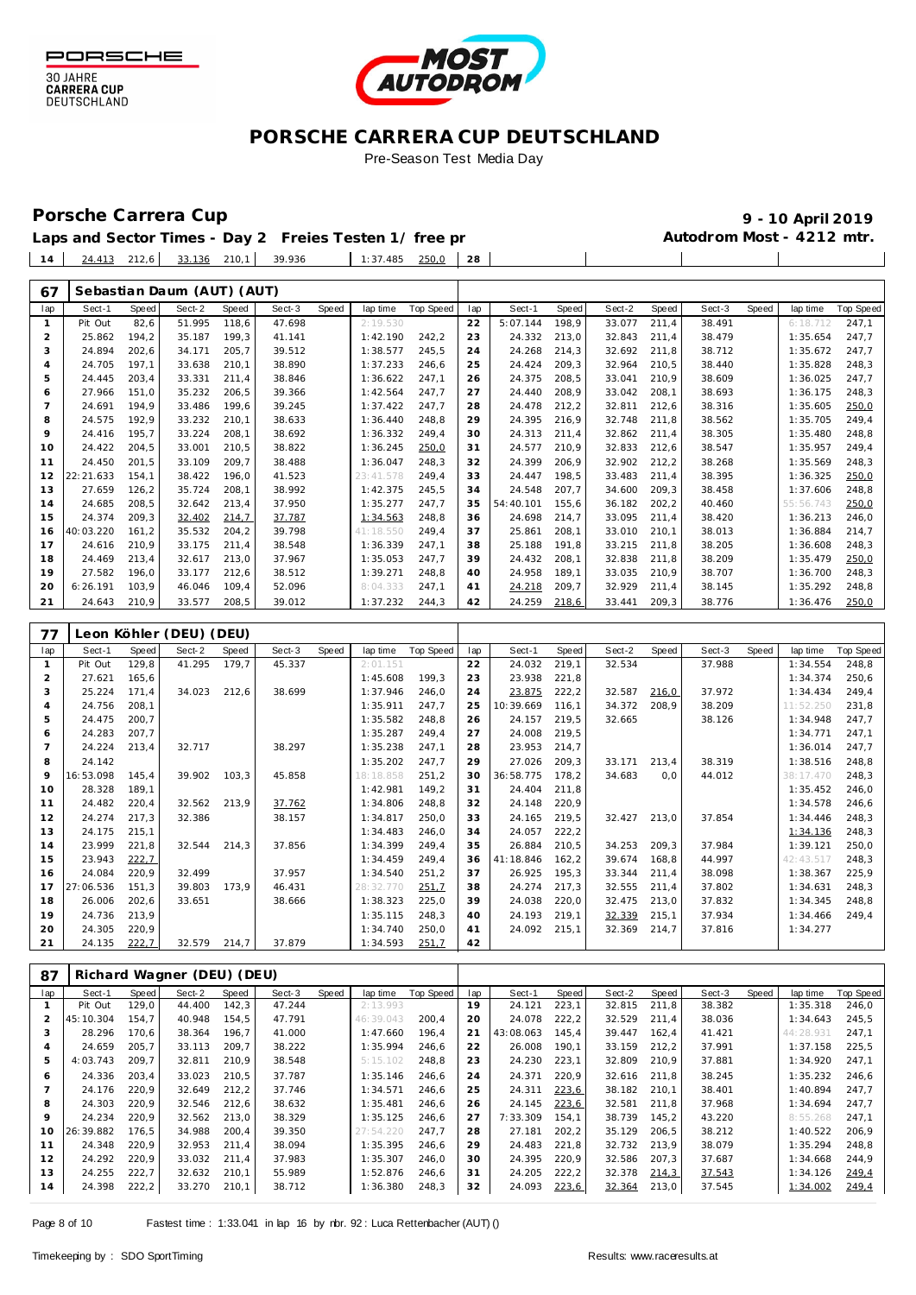



Pre-Season Test Media Day

Porsche Carrera Cup **10 April 2019 9 - 10 April 2019 Laps and Sector Times - Day 2 Freies Testen 1/ free practice 1 Autodrom Most - 4212 mtr.**

 $\mathbf{I}$ 

 $\overline{\phantom{a}}$ 

|  |  | Laps and Sector Times - Day 2 Freies Testen 1/ free pr |                       |  |  |
|--|--|--------------------------------------------------------|-----------------------|--|--|
|  |  | $14$ $24.413$ 212,6 $33.136$ 210,1 39.936              | $1:37.485$ $250.0$ 28 |  |  |

| 67             |             |        | Sebastian Daum (AUT) (AUT) |        |        |              |           |                  |     |           |        |        |        |        |       |           |           |
|----------------|-------------|--------|----------------------------|--------|--------|--------------|-----------|------------------|-----|-----------|--------|--------|--------|--------|-------|-----------|-----------|
| lap            | Sect-1      | Speed  | Sect-2                     | Speed  | Sect-3 | <b>Speed</b> | lap time  | <b>Top Speed</b> | lap | Sect-1    | Speed  | Sect-2 | Speed  | Sect-3 | Speed | lap time  | Top Speed |
| $\mathbf{1}$   | Pit Out     | 82,6   | 51.995                     | 118,6  | 47.698 |              | 2:19.530  |                  | 22  | 5:07.144  | 198,9  | 33.077 | 211,4  | 38.491 |       | 6:18.712  | 247,1     |
| $\overline{c}$ | 25.862      | 194,2  | 35.187                     | 199,3  | 41.141 |              | 1:42.190  | 242,2            | 23  | 24.332    | 213,0  | 32.843 | 211,4  | 38.479 |       | 1:35.654  | 247,7     |
| 3              | 24.894      | 202,6  | 34.171                     | 205,7  | 39.512 |              | 1:38.577  | 245,5            | 24  | 24.268    | 214,3  | 32.692 | 211,8  | 38.712 |       | 1:35.672  | 247,7     |
| $\overline{4}$ | 24.705      | 197,1  | 33.638                     | 210,1  | 38.890 |              | 1:37.233  | 246,6            | 25  | 24.424    | 209,3  | 32.964 | 210,5  | 38.440 |       | 1:35.828  | 248,3     |
| 5              | 24.445      | 203,4  | 33.331                     | 211,4  | 38.846 |              | 1:36.622  | 247,1            | 26  | 24.375    | 208,5  | 33.041 | 210,9  | 38.609 |       | 1:36.025  | 247,7     |
| 6              | 27.966      | 151,0  | 35.232                     | 206, 5 | 39.366 |              | 1:42.564  | 247,7            | 27  | 24.440    | 208,9  | 33.042 | 208,1  | 38.693 |       | 1:36.175  | 248,3     |
| $\overline{7}$ | 24.691      | 194,9  | 33.486                     | 199,6  | 39.245 |              | 1:37.422  | 247,7            | 28  | 24.478    | 212,2  | 32.811 | 212,6  | 38.316 |       | 1:35.605  | 250,0     |
| 8              | 24.575      | 192,9  | 33.232                     | 210,1  | 38.633 |              | 1:36.440  | 248,8            | 29  | 24.395    | 216,9  | 32.748 | 211,8  | 38.562 |       | 1:35.705  | 249,4     |
| 9              | 24.416      | 195,7  | 33.224                     | 208,1  | 38.692 |              | 1:36.332  | 249,4            | 30  | 24.313    | 211,4  | 32.862 | 211,4  | 38.305 |       | 1:35.480  | 248,8     |
| 10             | 24.422      | 204,5  | 33.001                     | 210,5  | 38.822 |              | 1:36.245  | 250,0            | 31  | 24.577    | 210,9  | 32.833 | 212,6  | 38.547 |       | 1:35.957  | 249,4     |
| 11             | 24.450      | 201,5  | 33.109                     | 209,7  | 38.488 |              | 1:36.047  | 248,3            | 32  | 24.399    | 206,9  | 32.902 | 212,2  | 38.268 |       | 1:35.569  | 248,3     |
| 12             | 22:21.633   | 154,1  | 38.422                     | 196,0  | 41.523 |              | 23:41.578 | 249,4            | 33  | 24.447    | 198,5  | 33.483 | 211,4  | 38.395 |       | 1:36.325  | 250,0     |
| 13             | 27.659      | 126,2  | 35.724                     | 208,1  | 38.992 |              | 1:42.375  | 245,5            | 34  | 24.548    | 207,7  | 34.600 | 209,3  | 38.458 |       | 1:37.606  | 248,8     |
| 14             | 24.685      | 208,5  | 32.642                     | 213,4  | 37.950 |              | 1:35.277  | 247,7            | 35  | 54:40.101 | 155,6  | 36.182 | 202, 2 | 40.460 |       | 55:56.743 | 250,0     |
| 15             | 24.374      | 209,3  | 32.402                     | 214,7  | 37.787 |              | 1:34.563  | 248,8            | 36  | 24.698    | 214,7  | 33.095 | 211,4  | 38.420 |       | 1:36.213  | 246,0     |
| 16             | 40:03.220   | 161,2  | 35.532                     | 204,2  | 39.798 |              | 41:18.550 | 249,4            | 37  | 25.861    | 208,1  | 33.010 | 210,1  | 38.013 |       | 1:36.884  | 214,7     |
| 17             | 24.616      | 210,9  | 33.175                     | 211,4  | 38.548 |              | 1:36.339  | 247,1            | 38  | 25.188    | 191,8  | 33.215 | 211,8  | 38.205 |       | 1:36.608  | 248,3     |
| 18             | 24.469      | 213,4  | 32.617                     | 213,0  | 37.967 |              | 1:35.053  | 247,7            | 39  | 24.432    | 208,1  | 32.838 | 211,8  | 38.209 |       | 1:35.479  | 250,0     |
| 19             | 27.582      | 196,0  | 33.177                     | 212,6  | 38.512 |              | 1:39.271  | 248,8            | 40  | 24.958    | 189,1  | 33.035 | 210,9  | 38.707 |       | 1:36.700  | 248,3     |
| 20             | 6:26.191    | 103,9  | 46.046                     | 109,4  | 52.096 |              | 8:04.333  | 247,1            | 41  | 24.218    | 209,7  | 32.929 | 211,4  | 38.145 |       | 1:35.292  | 248,8     |
| 21             | 24.643      | 210,9  | 33.577                     | 208,5  | 39.012 |              | 1:37.232  | 244,3            | 42  | 24.259    | 218,6  | 33.441 | 209,3  | 38.776 |       | 1:36.476  | 250,0     |
|                |             |        |                            |        |        |              |           |                  |     |           |        |        |        |        |       |           |           |
| 77             | Leon Köhler |        | (DEU) (DEU)                |        |        |              |           |                  |     |           |        |        |        |        |       |           |           |
|                |             |        |                            |        |        |              |           |                  |     |           |        |        |        |        |       |           |           |
| lap            | Sect-1      | Speed  | Sect-2                     | Speed  | Sect-3 | Speed        | lap time  | <b>Top Speed</b> | lap | Sect-1    | Speed  | Sect-2 | Speed  | Sect-3 | Speed | lap time  | Top Speed |
| $\mathbf{1}$   | Pit Out     | 129,8  | 41.295                     | 179,7  | 45.337 |              | 2:01.151  |                  | 22  | 24.032    | 219,1  | 32.534 |        | 37.988 |       | 1:34.554  | 248,8     |
| $\overline{2}$ | 27.621      | 165,6  |                            |        |        |              | 1:45.608  | 199,3            | 23  | 23.938    | 221,8  |        |        |        |       | 1:34.374  | 250,6     |
| 3              | 25.224      | 171,4  | 34.023                     | 212,6  | 38.699 |              | 1:37.946  | 246,0            | 24  | 23.875    | 222,2  | 32.587 | 216,0  | 37.972 |       | 1:34.434  | 249,4     |
| $\sqrt{4}$     | 24.756      | 208,1  |                            |        |        |              | 1:35.911  | 247,7            | 25  | 10:39.669 | 116,1  | 34.372 | 208,9  | 38.209 |       | 11:52.250 | 231,8     |
| 5              | 24.475      | 200,7  |                            |        |        |              | 1:35.582  | 248,8            | 26  | 24.157    | 219,5  | 32.665 |        | 38.126 |       | 1:34.948  | 247,7     |
| 6              | 24.283      | 207,7  |                            |        |        |              | 1:35.287  | 249,4            | 27  | 24.008    | 219,5  |        |        |        |       | 1:34.771  | 247,1     |
| $\overline{7}$ | 24.224      | 213,4  | 32.717                     |        | 38.297 |              | 1:35.238  | 247,1            | 28  | 23.953    | 214,7  |        |        |        |       | 1:36.014  | 247,7     |
| 8              | 24.142      |        |                            |        |        |              | 1:35.202  | 247,7            | 29  | 27.026    | 209,3  | 33.171 | 213,4  | 38.319 |       | 1:38.516  | 248,8     |
| 9              | 16:53.098   | 145,4  | 39.902                     | 103,3  | 45.858 |              | 18:18.858 | 251,2            | 30  | 36:58.775 | 178,2  | 34.683 | 0, 0   | 44.012 |       | 38:17.470 | 248,3     |
| 10             | 28.328      | 189,1  |                            |        |        |              | 1:42.981  | 149,2            | 31  | 24.404    | 211,8  |        |        |        |       | 1:35.452  | 246,0     |
| 11             | 24.482      | 220,4  | 32.562                     | 213,9  | 37.762 |              | 1:34.806  | 248,8            | 32  | 24.148    | 220,9  |        |        |        |       | 1:34.578  | 246,6     |
| 12             | 24.274      | 217,3  | 32.386                     |        | 38.157 |              | 1:34.817  | 250,0            | 33  | 24.165    | 219,5  | 32.427 | 213,0  | 37.854 |       | 1:34.446  | 248,3     |
| 13             | 24.175      | 215,1  |                            |        |        |              | 1:34.483  | 246,0            | 34  | 24.057    | 222,2  |        |        |        |       | 1:34.136  | 248,3     |
| 14             | 23.999      | 221,8  | 32.544                     | 214,3  | 37.856 |              | 1:34.399  | 249,4            | 35  | 26.884    | 210,5  | 34.253 | 209,3  | 37.984 |       | 1:39.121  | 250,0     |
| 15             | 23.943      | 222,7  |                            |        |        |              | 1:34.459  | 249,4            | 36  | 41:18.846 | 162, 2 | 39.674 | 168,8  | 44.997 |       | 42:43.517 | 248,3     |
| 16             | 24.084      | 220,9  | 32.499                     |        | 37.957 |              | 1:34.540  | 251,2            | 37  | 26.925    | 195,3  | 33.344 | 211,4  | 38.098 |       | 1:38.367  | 225,9     |
| 17             | 27:06.536   | 151,3  | 39.803                     | 173,9  | 46.431 |              | 28:32.770 | 251,7            | 38  | 24.274    | 217,3  | 32.555 | 211,4  | 37.802 |       | 1:34.631  | 248,3     |
| 18             | 26.006      | 202, 6 | 33.651                     |        | 38.666 |              | 1:38.323  | 225,0            | 39  | 24.038    | 220,0  | 32.475 | 213,0  | 37.832 |       | 1:34.345  | 248,8     |
| 19             | 24.736      | 213,9  |                            |        |        |              | 1:35.115  | 248,3            | 40  | 24.193    | 219,1  | 32.339 | 215,1  | 37.934 |       | 1:34.466  | 249,4     |
| 20             | 24.305      | 220,9  |                            |        |        |              | 1:34.740  | 250,0            | 41  | 24.092    | 215,1  | 32.369 | 214,7  | 37.816 |       | 1:34.277  |           |
| 21             | 24.135      | 222,7  | 32.579                     | 214,7  | 37.879 |              | 1:34.593  | 251,7            | 42  |           |        |        |        |        |       |           |           |
|                |             |        |                            |        |        |              |           |                  |     |           |        |        |        |        |       |           |           |

| $\circ$ / | KIUHATU WAYHEI |       |        | IDLUIIULUI |        |       |           |           |     |           |       |        |       |        |       |           |                  |
|-----------|----------------|-------|--------|------------|--------|-------|-----------|-----------|-----|-----------|-------|--------|-------|--------|-------|-----------|------------------|
| lap       | Sect-1         | Speed | Sect-2 | Speed      | Sect-3 | Speed | lap time  | Top Speed | lap | Sect-1    | Speed | Sect-2 | Speed | Sect-3 | Speed | lap time  | <b>Top Speed</b> |
|           | Pit Out        | 129.0 | 44.400 | 142,3      | 47.244 |       | 2:13.993  |           | 19  | 24.121    | 223,1 | 32.815 | 211.8 | 38.382 |       | 1:35.318  | 246.0            |
|           | 45:10.304      | 154.7 | 40.948 | 154.5      | 47.791 |       | 46:39.043 | 200.4     | 20  | 24.078    | 222,2 | 32.529 | 211.4 | 38.036 |       | 1:34.643  | 245.5            |
| 3         | 28.296         | 170.6 | 38.364 | 196.7      | 41.000 |       | 1:47.660  | 196.4     | 21  | 43:08.063 | 145.4 | 39.447 | 162.4 | 41.421 |       | 44:28.931 | 247.1            |
|           | 24.659         | 205,7 | 33.113 | 209,7      | 38.222 |       | 1:35.994  | 246,6     | 22  | 26.008    | 190,1 | 33.159 | 212,2 | 37.991 |       | 1:37.158  | 225,5            |
| 5         | 4:03.743       | 209,7 | 32.811 | 210,9      | 38.548 |       | 5:15.102  | 248,8     | 23  | 24.230    | 223,1 | 32.809 | 210,9 | 37.881 |       | 1:34.920  | 247,1            |
| 6         | 24.336         | 203,4 | 33.023 | 210,5      | 37.787 |       | 1:35.146  | 246,6     | 24  | 24.371    | 220,9 | 32.616 | 211.8 | 38.245 |       | 1:35.232  | 246,6            |
|           | 24.176         | 220.9 | 32.649 | 212,2      | 37.746 |       | 1:34.571  | 246.6     | 25  | 24.311    | 223,6 | 38.182 | 210,1 | 38.401 |       | 1:40.894  | 247,7            |
| 8         | 24.303         | 220.9 | 32.546 | 212,6      | 38.632 |       | 1:35.481  | 246.6     | 26  | 24.145    | 223,6 | 32.581 | 211.8 | 37.968 |       | 1:34.694  | 247.7            |
| 9         | 24.234         | 220.9 | 32.562 | 213,0      | 38.329 |       | 1:35.125  | 246.6     | 27  | 7:33.309  | 154.1 | 38.739 | 145.2 | 43.220 |       | 8:55.268  | 247.1            |
| 10        | 26:39.882      | 176,5 | 34.988 | 200,4      | 39.350 |       | 27:54.220 | 247.7     | 28  | 27.181    | 202,2 | 35.129 | 206,5 | 38.212 |       | 1:40.522  | 206,9            |
| 11        | 24.348         | 220.9 | 32.953 | 211,4      | 38.094 |       | 1:35.395  | 246.6     | 29  | 24.483    | 221,8 | 32.732 | 213.9 | 38.079 |       | 1:35.294  | 248.8            |
| 12        | 24.292         | 220.9 | 33.032 | 211.4      | 37.983 |       | 1:35.307  | 246.0     | 30  | 24.395    | 220.9 | 32.586 | 207.3 | 37.687 |       | 1:34.668  | 244.9            |
| 13        | 24.255         | 222.7 | 32.632 | 210.1      | 55.989 |       | 1:52.876  | 246.6     | 31  | 24.205    | 222,2 | 32.378 | 214,3 | 37.543 |       | 1:34.126  | 249.4            |
| 14        | 24.398         | 222,2 | 33.270 | 210,1      | 38.712 |       | 1:36.380  | 248,3     | 32  | 24.093    | 223,6 | 32.364 | 213,0 | 37.545 |       | 1:34.002  | 249,4            |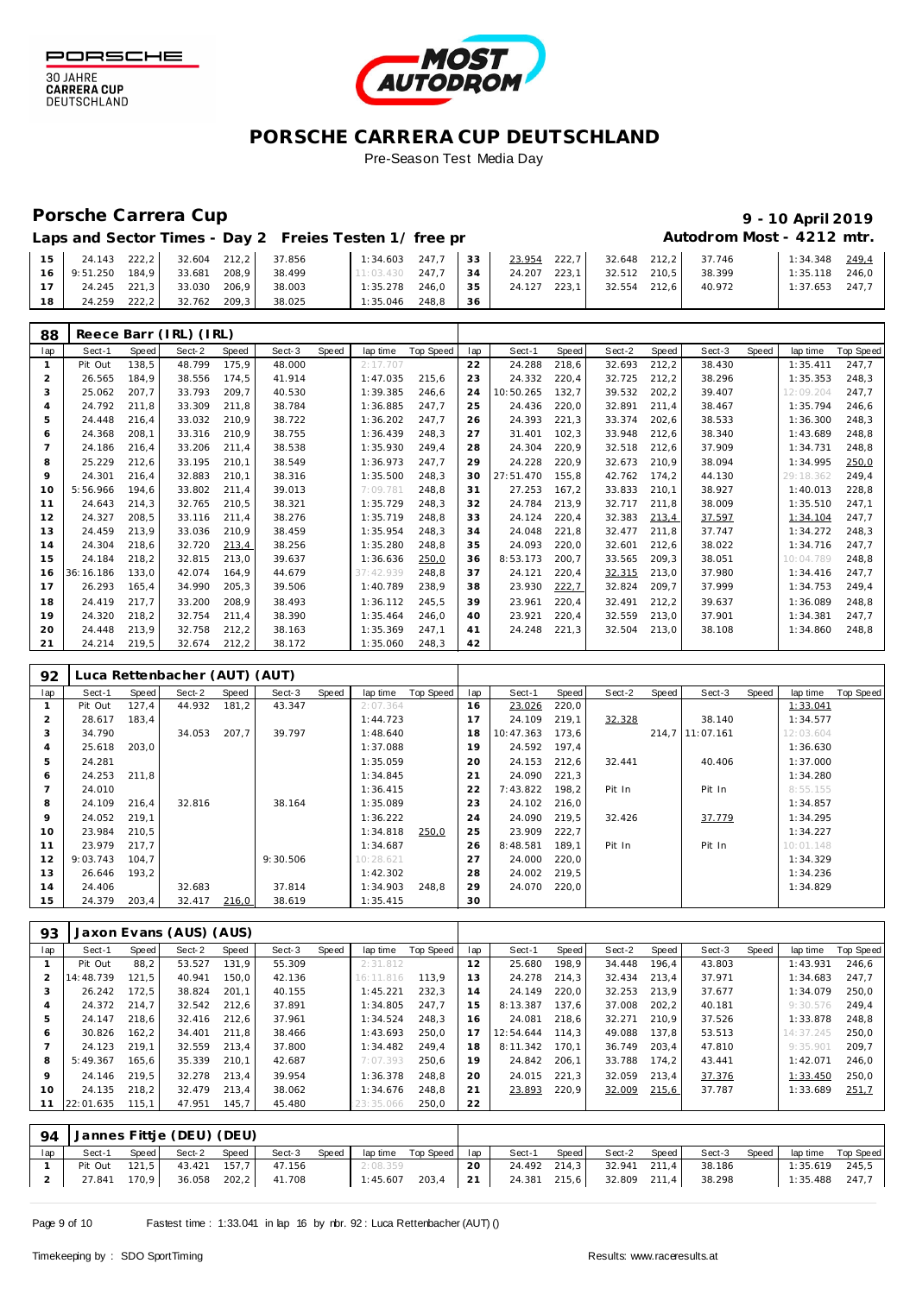

30 JAHRE<br>CARRERA CUP<br>DEUTSCHLAND



#### **PORSCHE CARRERA CUP DEUTSCHLAND** Pre-Season Test Media Day

#### Porsche Carrera Cup **10 April 2019 9 - 10 April 2019**

# Autodrom Most - 4212 mtr.

| Laps and Sector Times - Day 2 Freies Testen 1/ free pr |  |
|--------------------------------------------------------|--|
|--------------------------------------------------------|--|

|    | 24.143            | 222,2 | 32.604 212,2 |       | 37.856 | 1:34.603  | 247.7 | 33 | 23.954 | 222.7 | 32.648 212.2 |       | 37.746 | 1:34.348 249.4   |  |
|----|-------------------|-------|--------------|-------|--------|-----------|-------|----|--------|-------|--------------|-------|--------|------------------|--|
|    | 16 9:51.250 184.9 |       | 33.681       | 208.9 | 38.499 | 11:03.430 | 247.7 | 34 | 24.207 | 223.1 | 32.512 210.5 |       | 38.399 | $1:35.118$ 246.0 |  |
|    | 24.245            | 221.3 | 33.030       | 206.9 | 38.003 | 1:35.278  | 246.0 | 35 | 24.127 | 223.1 | 32.554       | 212.6 | 40.972 | $1:37.653$ 247.7 |  |
| 18 | 24.259            | 222.2 | 32.762       | 209.3 | 38.025 | 1:35.046  | 248.8 | 36 |        |       |              |       |        |                  |  |

| 88             |           |       | Reece Barr (IRL) (IRL) |       |        |       |           |           |     |           |       |        |       |        |       |           |                  |
|----------------|-----------|-------|------------------------|-------|--------|-------|-----------|-----------|-----|-----------|-------|--------|-------|--------|-------|-----------|------------------|
| lap            | Sect-1    | Speed | Sect-2                 | Speed | Sect-3 | Speed | lap time  | Top Speed | lap | Sect-1    | Speed | Sect-2 | Speed | Sect-3 | Speed | lap time  | <b>Top Speed</b> |
|                | Pit Out   | 138,5 | 48.799                 | 175.9 | 48.000 |       | 2:17.707  |           | 22  | 24.288    | 218,6 | 32.693 | 212,2 | 38.430 |       | 1:35.411  | 247,7            |
| 2              | 26.565    | 184.9 | 38.556                 | 174.5 | 41.914 |       | 1:47.035  | 215.6     | 23  | 24.332    | 220,4 | 32.725 | 212,2 | 38.296 |       | 1:35.353  | 248.3            |
| 3              | 25.062    | 207.7 | 33.793                 | 209,7 | 40.530 |       | 1:39.385  | 246,6     | 24  | 10:50.265 | 132,7 | 39.532 | 202,2 | 39.407 |       | 12:09.204 | 247,7            |
| $\overline{a}$ | 24.792    | 211.8 | 33.309                 | 211.8 | 38.784 |       | 1:36.885  | 247.7     | 25  | 24.436    | 220,0 | 32.891 | 211.4 | 38.467 |       | 1:35.794  | 246.6            |
| 5              | 24.448    | 216,4 | 33.032                 | 210,9 | 38.722 |       | 1:36.202  | 247.7     | 26  | 24.393    | 221,3 | 33.374 | 202,6 | 38.533 |       | 1:36.300  | 248.3            |
| 6              | 24.368    | 208,1 | 33.316                 | 210,9 | 38.755 |       | 1:36.439  | 248,3     | 27  | 31.401    | 102,3 | 33.948 | 212,6 | 38.340 |       | 1:43.689  | 248,8            |
| $\overline{7}$ | 24.186    | 216,4 | 33.206                 | 211,4 | 38.538 |       | 1:35.930  | 249,4     | 28  | 24.304    | 220,9 | 32.518 | 212,6 | 37.909 |       | 1:34.731  | 248,8            |
| 8              | 25.229    | 212,6 | 33.195                 | 210,1 | 38.549 |       | 1:36.973  | 247,7     | 29  | 24.228    | 220,9 | 32.673 | 210.9 | 38.094 |       | 1:34.995  | 250,0            |
| 9              | 24.301    | 216.4 | 32.883                 | 210.1 | 38.316 |       | 1:35.500  | 248,3     | 30  | 27:51.470 | 155,8 | 42.762 | 174.2 | 44.130 |       | 29:18.362 | 249.4            |
| 10             | 5:56.966  | 194.6 | 33.802                 | 211,4 | 39.013 |       | 7:09.781  | 248,8     | 31  | 27.253    | 167,2 | 33.833 | 210,1 | 38.927 |       | 1:40.013  | 228,8            |
| 11             | 24.643    | 214.3 | 32.765                 | 210,5 | 38.321 |       | 1:35.729  | 248,3     | 32  | 24.784    | 213,9 | 32.717 | 211.8 | 38.009 |       | 1:35.510  | 247.1            |
| 12             | 24.327    | 208,5 | 33.116                 | 211.4 | 38.276 |       | 1:35.719  | 248.8     | 33  | 24.124    | 220,4 | 32.383 | 213,4 | 37.597 |       | 1:34.104  | 247.7            |
| 13             | 24.459    | 213,9 | 33.036                 | 210,9 | 38.459 |       | 1:35.954  | 248,3     | 34  | 24.048    | 221,8 | 32.477 | 211.8 | 37.747 |       | 1:34.272  | 248.3            |
| 14             | 24.304    | 218.6 | 32.720                 | 213,4 | 38.256 |       | 1:35.280  | 248.8     | 35  | 24.093    | 220.0 | 32.601 | 212,6 | 38.022 |       | 1:34.716  | 247,7            |
| 15             | 24.184    | 218,2 | 32.815                 | 213.0 | 39.637 |       | 1:36.636  | 250,0     | 36  | 8:53.173  | 200.7 | 33.565 | 209,3 | 38.051 |       | 10:04.789 | 248.8            |
| 16             | 36:16.186 | 133,0 | 42.074                 | 164,9 | 44.679 |       | 37:42.939 | 248,8     | 37  | 24.121    | 220,4 | 32.315 | 213,0 | 37.980 |       | 1:34.416  | 247,7            |
| 17             | 26.293    | 165,4 | 34.990                 | 205,3 | 39.506 |       | 1:40.789  | 238,9     | 38  | 23.930    | 222,7 | 32.824 | 209,7 | 37.999 |       | 1:34.753  | 249,4            |
| 18             | 24.419    | 217.7 | 33.200                 | 208,9 | 38.493 |       | 1:36.112  | 245,5     | 39  | 23.961    | 220,4 | 32.491 | 212,2 | 39.637 |       | 1:36.089  | 248,8            |
| 19             | 24.320    | 218,2 | 32.754                 | 211,4 | 38.390 |       | 1:35.464  | 246,0     | 40  | 23.921    | 220,4 | 32.559 | 213,0 | 37.901 |       | 1:34.381  | 247,7            |
| 20             | 24.448    | 213,9 | 32.758                 | 212,2 | 38.163 |       | 1:35.369  | 247.1     | 41  | 24.248    | 221,3 | 32.504 | 213,0 | 38.108 |       | 1:34.860  | 248,8            |
| 21             | 24.214    | 219,5 | 32.674                 | 212,2 | 38.172 |       | 1:35.060  | 248.3     | 42  |           |       |        |       |        |       |           |                  |

| 92  | Luca Rettenbacher (AUT) (AUT) |       |        |       |          |       |           |           |     |           |       |        |       |                 |       |           |           |
|-----|-------------------------------|-------|--------|-------|----------|-------|-----------|-----------|-----|-----------|-------|--------|-------|-----------------|-------|-----------|-----------|
| lap | Sect-1                        | Speed | Sect-2 | Speed | Sect-3   | Speed | lap time  | Top Speed | lap | Sect-1    | Speed | Sect-2 | Speed | Sect-3          | Speed | lap time  | Top Speed |
|     | Pit Out                       | 127,4 | 44.932 | 181,2 | 43.347   |       | 2:07.364  |           | 16  | 23.026    | 220,0 |        |       |                 |       | 1:33.041  |           |
| 2   | 28.617                        | 183.4 |        |       |          |       | 1:44.723  |           |     | 24.109    | 219,1 | 32.328 |       | 38.140          |       | 1:34.577  |           |
| 3   | 34.790                        |       | 34.053 | 207,7 | 39.797   |       | 1:48.640  |           | 18  | 10:47.363 | 173,6 |        |       | 214.7 11:07.161 |       | 12:03.604 |           |
| 4   | 25.618                        | 203,0 |        |       |          |       | 1:37.088  |           | 19  | 24.592    | 197,4 |        |       |                 |       | 1:36.630  |           |
| 5   | 24.281                        |       |        |       |          |       | 1:35.059  |           | 20  | 24.153    | 212,6 | 32.441 |       | 40.406          |       | 1:37.000  |           |
| 6   | 24.253                        | 211,8 |        |       |          |       | 1:34.845  |           | 21  | 24.090    | 221,3 |        |       |                 |       | 1:34.280  |           |
|     | 24.010                        |       |        |       |          |       | 1:36.415  |           | 22  | 7:43.822  | 198,2 | Pit In |       | Pit In          |       | 8:55.155  |           |
| 8   | 24.109                        | 216.4 | 32.816 |       | 38.164   |       | 1:35.089  |           | 23  | 24.102    | 216,0 |        |       |                 |       | 1:34.857  |           |
| 9   | 24.052                        | 219.1 |        |       |          |       | 1:36.222  |           | 24  | 24.090    | 219,5 | 32.426 |       | 37.779          |       | 1:34.295  |           |
| 10  | 23.984                        | 210,5 |        |       |          |       | 1:34.818  | 250,0     | 25  | 23.909    | 222,7 |        |       |                 |       | 1:34.227  |           |
| 11  | 23.979                        | 217.7 |        |       |          |       | 1:34.687  |           | 26  | 8:48.581  | 189,1 | Pit In |       | Pit In          |       | 10:01.148 |           |
| 12  | 9:03.743                      | 104.7 |        |       | 9:30.506 |       | 10:28.621 |           | 27  | 24.000    | 220,0 |        |       |                 |       | 1:34.329  |           |
| 13  | 26.646                        | 193,2 |        |       |          |       | 1:42.302  |           | 28  | 24.002    | 219,5 |        |       |                 |       | 1:34.236  |           |
| 14  | 24.406                        |       | 32.683 |       | 37.814   |       | 1:34.903  | 248.8     | 29  | 24.070    | 220,0 |        |       |                 |       | 1:34.829  |           |
| 15  | 24.379                        | 203,4 | 32.417 | 216,0 | 38.619   |       | 1:35.415  |           | 30  |           |       |        |       |                 |       |           |           |

| 93  | Jaxon Evans (AUS) (AUS) |        |        |       |        |       |           |           |     |           |       |        |       |        |       |           |           |
|-----|-------------------------|--------|--------|-------|--------|-------|-----------|-----------|-----|-----------|-------|--------|-------|--------|-------|-----------|-----------|
| lap | Sect-1                  | Speed  | Sect-2 | Speed | Sect-3 | Speed | lap time  | Top Speed | lap | Sect-1    | Speed | Sect-2 | Speed | Sect-3 | Speed | lap time  | Top Speed |
|     | Pit Out                 | 88,2   | 53.527 | 131,9 | 55.309 |       | 2:31.812  |           | 12  | 25.680    | 198.9 | 34.448 | 196.4 | 43.803 |       | 1:43.931  | 246,6     |
|     | 14:48.739               | 121.5  | 40.941 | 150.0 | 42.136 |       | 16:11.816 | 113.9     | 13  | 24.278    | 214.3 | 32.434 | 213.4 | 37.971 |       | 1:34.683  | 247.7     |
| 3   | 26.242                  | 172.5  | 38.824 | 201.1 | 40.155 |       | 1:45.221  | 232.3     | 14  | 24.149    | 220.0 | 32.253 | 213.9 | 37.677 |       | 1:34.079  | 250.0     |
| 4   | 24.372                  | 214.7  | 32.542 | 212.6 | 37.891 |       | 1:34.805  | 247.7     | 15  | 8:13.387  | 137.6 | 37.008 | 202.2 | 40.181 |       | 9:30.576  | 249.4     |
| 5   | 24.147                  | 218.6  | 32.416 | 212.6 | 37.961 |       | 1:34.524  | 248.3     | 16  | 24.081    | 218,6 | 32.271 | 210.9 | 37.526 |       | 1:33.878  | 248.8     |
| 6   | 30.826                  | 162, 2 | 34.401 | 211.8 | 38.466 |       | 1:43.693  | 250.0     | 17  | 12:54.644 | 114.3 | 49.088 | 137.8 | 53.513 |       | 14:37.245 | 250.0     |
|     | 24.123                  | 219.1  | 32.559 | 213.4 | 37.800 |       | 1:34.482  | 249.4     | 18  | 8:11.342  | 170.1 | 36.749 | 203.4 | 47.810 |       | 9:35.901  | 209.7     |
| 8   | 5:49.367                | 165.6  | 35.339 | 210.1 | 42.687 |       | 7:07.393  | 250.6     | 19  | 24.842    | 206,1 | 33.788 | 174,2 | 43.441 |       | 1:42.071  | 246,0     |
| 9   | 24.146                  | 219.5  | 32.278 | 213.4 | 39.954 |       | 1:36.378  | 248.8     | 20  | 24.015    | 221,3 | 32.059 | 213.4 | 37.376 |       | 1:33.450  | 250,0     |
| 10  | 24.135                  | 218.2  | 32.479 | 213.4 | 38.062 |       | 1:34.676  | 248.8     | 21  | 23.893    | 220.9 | 32.009 | 215,6 | 37.787 |       | 1:33.689  | 251,7     |
| 11  | 22:01.635               | 115,1  | 47.951 | 145,7 | 45.480 |       | 23:35.066 | 250,0     | 22  |           |       |        |       |        |       |           |           |

|    | 94 Jannes Fittje (DEU) (DEU) |                    |                                    |          |  |                                                 |  |                                              |                  |  |
|----|------------------------------|--------------------|------------------------------------|----------|--|-------------------------------------------------|--|----------------------------------------------|------------------|--|
| ap | Sect-1                       | Speed Sect-2 Speed |                                    |          |  | Sect-3 Speed laptime Top Speed lap Sect-1 Speed |  | Sect-2 Speed Sect-3 Speed lap time Top Speed |                  |  |
|    |                              |                    | Pit Out 121,5 43.421 157,7 47.156  | 2:08.359 |  | 20 24.492 214,3 32.941 211,4 38.186             |  |                                              | $1:35.619$ 245,5 |  |
|    |                              |                    | 2 27.841 170,9 36.058 202,2 41.708 |          |  | $1:45.607$ 203,4 21 24.381 215,6                |  | 32.809 211,4 38.298                          | $1:35.488$ 247,7 |  |